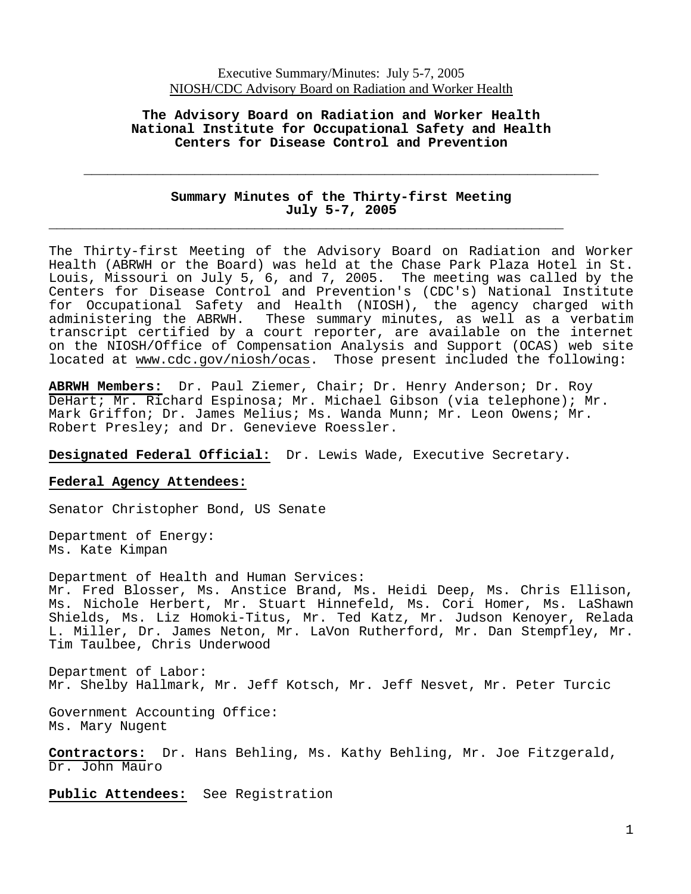#### **The Advisory Board on Radiation and Worker Health National Institute for Occupational Safety and Health Centers for Disease Control and Prevention**

### **Summary Minutes of the Thirty-first Meeting July 5-7, 2005**

**\_\_\_\_\_\_\_\_\_\_\_\_\_\_\_\_\_\_\_\_\_\_\_\_\_\_\_\_\_\_\_\_\_\_\_\_\_\_\_\_\_\_\_\_\_\_\_\_\_\_\_\_\_\_\_\_\_\_\_\_\_\_\_\_\_** 

**\_\_\_\_\_\_\_\_\_\_\_\_\_\_\_\_\_\_\_\_\_\_\_\_\_\_\_\_\_\_\_\_\_\_\_\_\_\_\_\_\_\_\_\_\_\_\_\_\_\_\_\_\_\_\_\_\_\_\_\_\_\_\_\_\_** 

The Thirty-first Meeting of the Advisory Board on Radiation and Worker Health (ABRWH or the Board) was held at the Chase Park Plaza Hotel in St. Louis, Missouri on July 5, 6, and 7, 2005. The meeting was called by the Centers for Disease Control and Prevention's (CDC's) National Institute for Occupational Safety and Health (NIOSH), the agency charged with administering the ABRWH. These summary minutes, as well as a verbatim transcript certified by a court reporter, are available on the internet on the NIOSH/Office of Compensation Analysis and Support (OCAS) web site located at www.cdc.gov/niosh/ocas. Those present included the following:

**ABRWH Members:** Dr. Paul Ziemer, Chair; Dr. Henry Anderson; Dr. Roy DeHart; Mr. Richard Espinosa; Mr. Michael Gibson (via telephone); Mr. Mark Griffon; Dr. James Melius; Ms. Wanda Munn; Mr. Leon Owens; Mr. Robert Presley; and Dr. Genevieve Roessler.

**Designated Federal Official:** Dr. Lewis Wade, Executive Secretary.

#### **Federal Agency Attendees:**

Senator Christopher Bond, US Senate

Department of Energy: Ms. Kate Kimpan

Department of Health and Human Services: Mr. Fred Blosser, Ms. Anstice Brand, Ms. Heidi Deep, Ms. Chris Ellison, Ms. Nichole Herbert, Mr. Stuart Hinnefeld, Ms. Cori Homer, Ms. LaShawn Shields, Ms. Liz Homoki-Titus, Mr. Ted Katz, Mr. Judson Kenoyer, Relada L. Miller, Dr. James Neton, Mr. LaVon Rutherford, Mr. Dan Stempfley, Mr. Tim Taulbee, Chris Underwood

Department of Labor: Mr. Shelby Hallmark, Mr. Jeff Kotsch, Mr. Jeff Nesvet, Mr. Peter Turcic

Government Accounting Office: Ms. Mary Nugent

**Contractors:** Dr. Hans Behling, Ms. Kathy Behling, Mr. Joe Fitzgerald, Dr. John Mauro

**Public Attendees:** See Registration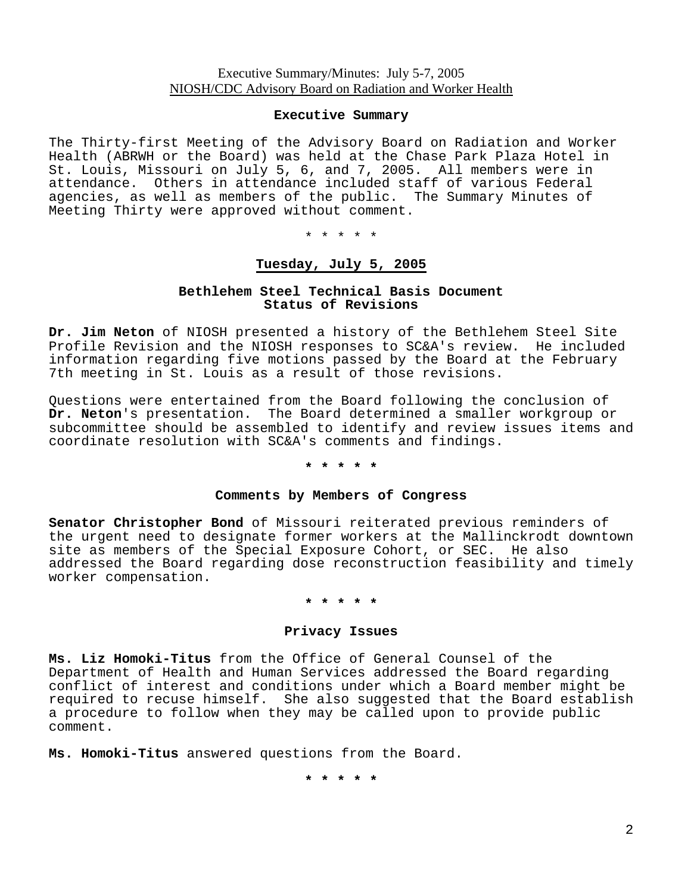#### **Executive Summary**

The Thirty-first Meeting of the Advisory Board on Radiation and Worker Health (ABRWH or the Board) was held at the Chase Park Plaza Hotel in St. Louis, Missouri on July 5, 6, and 7, 2005. All members were in attendance. Others in attendance included staff of various Federal agencies, as well as members of the public. The Summary Minutes of Meeting Thirty were approved without comment.

\* \* \* \* \*

## **Tuesday, July 5, 2005**

### **Bethlehem Steel Technical Basis Document Status of Revisions**

**Dr. Jim Neton** of NIOSH presented a history of the Bethlehem Steel Site Profile Revision and the NIOSH responses to SC&A's review. He included information regarding five motions passed by the Board at the February 7th meeting in St. Louis as a result of those revisions.

Questions were entertained from the Board following the conclusion of **Dr. Neton**'s presentation. The Board determined a smaller workgroup or subcommittee should be assembled to identify and review issues items and coordinate resolution with SC&A's comments and findings.

### **\* \* \* \* \***

#### **Comments by Members of Congress**

**Senator Christopher Bond** of Missouri reiterated previous reminders of the urgent need to designate former workers at the Mallinckrodt downtown site as members of the Special Exposure Cohort, or SEC. He also addressed the Board regarding dose reconstruction feasibility and timely worker compensation.

### **\* \* \* \* \***

#### **Privacy Issues**

**Ms. Liz Homoki-Titus** from the Office of General Counsel of the Department of Health and Human Services addressed the Board regarding conflict of interest and conditions under which a Board member might be required to recuse himself. She also suggested that the Board establish a procedure to follow when they may be called upon to provide public comment.

**Ms. Homoki-Titus** answered questions from the Board.

**\* \* \* \* \***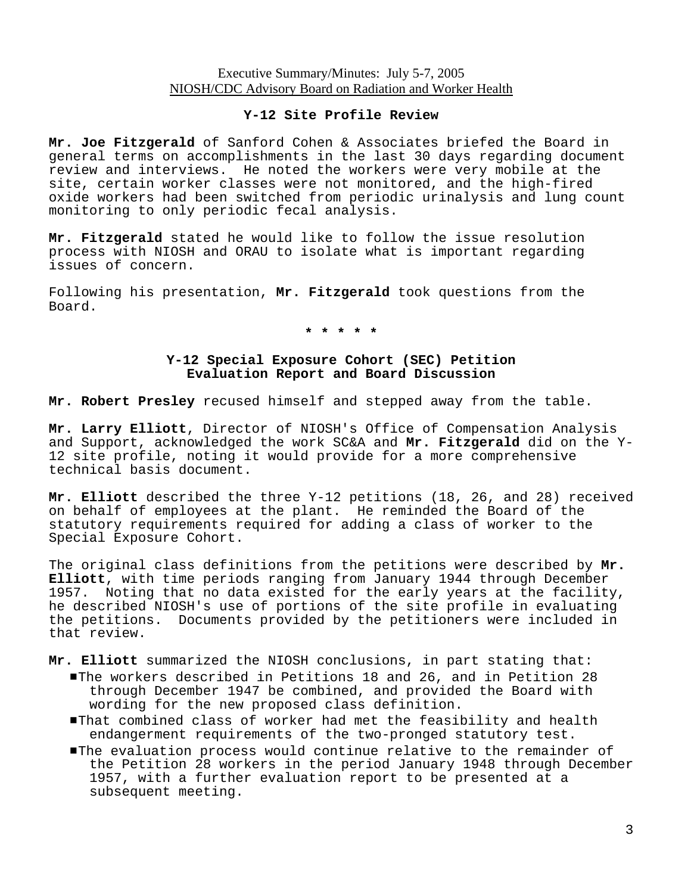#### **Y-12 Site Profile Review**

**Mr. Joe Fitzgerald** of Sanford Cohen & Associates briefed the Board in general terms on accomplishments in the last 30 days regarding document review and interviews. He noted the workers were very mobile at the site, certain worker classes were not monitored, and the high-fired oxide workers had been switched from periodic urinalysis and lung count monitoring to only periodic fecal analysis.

**Mr. Fitzgerald** stated he would like to follow the issue resolution process with NIOSH and ORAU to isolate what is important regarding issues of concern.

Following his presentation, **Mr. Fitzgerald** took questions from the Board.

**\* \* \* \* \***

### **Y-12 Special Exposure Cohort (SEC) Petition Evaluation Report and Board Discussion**

**Mr. Robert Presley** recused himself and stepped away from the table.

**Mr. Larry Elliott**, Director of NIOSH's Office of Compensation Analysis and Support, acknowledged the work SC&A and **Mr. Fitzgerald** did on the Y-12 site profile, noting it would provide for a more comprehensive technical basis document.

**Mr. Elliott** described the three Y-12 petitions (18, 26, and 28) received on behalf of employees at the plant. He reminded the Board of the statutory requirements required for adding a class of worker to the Special Exposure Cohort.

The original class definitions from the petitions were described by **Mr. Elliott**, with time periods ranging from January 1944 through December 1957. Noting that no data existed for the early years at the facility, he described NIOSH's use of portions of the site profile in evaluating the petitions. Documents provided by the petitioners were included in that review.

- **Mr. Elliott** summarized the NIOSH conclusions, in part stating that: #The workers described in Petitions 18 and 26, and in Petition 28 through December 1947 be combined, and provided the Board with wording for the new proposed class definition.
	- #That combined class of worker had met the feasibility and health endangerment requirements of the two-pronged statutory test.
	- **The evaluation process would continue relative to the remainder of** the Petition 28 workers in the period January 1948 through December 1957, with a further evaluation report to be presented at a subsequent meeting.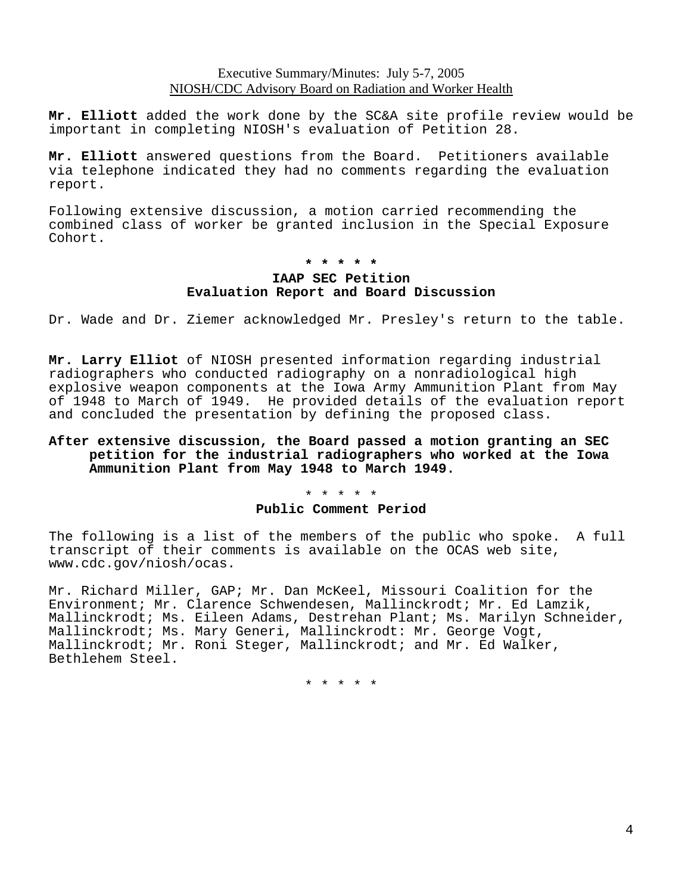**Mr. Elliott** added the work done by the SC&A site profile review would be important in completing NIOSH's evaluation of Petition 28.

**Mr. Elliott** answered questions from the Board. Petitioners available via telephone indicated they had no comments regarding the evaluation report.

Following extensive discussion, a motion carried recommending the combined class of worker be granted inclusion in the Special Exposure Cohort.

## **\* \* \* \* \***

## **IAAP SEC Petition Evaluation Report and Board Discussion**

Dr. Wade and Dr. Ziemer acknowledged Mr. Presley's return to the table.

**Mr. Larry Elliot** of NIOSH presented information regarding industrial radiographers who conducted radiography on a nonradiological high explosive weapon components at the Iowa Army Ammunition Plant from May of 1948 to March of 1949. He provided details of the evaluation report and concluded the presentation by defining the proposed class.

#### **After extensive discussion, the Board passed a motion granting an SEC petition for the industrial radiographers who worked at the Iowa Ammunition Plant from May 1948 to March 1949.**

#### \* \* \* \* \* **Public Comment Period**

The following is a list of the members of the public who spoke. A full transcript of their comments is available on the OCAS web site, www.cdc.gov/niosh/ocas.

Mr. Richard Miller, GAP; Mr. Dan McKeel, Missouri Coalition for the Environment; Mr. Clarence Schwendesen, Mallinckrodt; Mr. Ed Lamzik, Mallinckrodt; Ms. Eileen Adams, Destrehan Plant; Ms. Marilyn Schneider, Mallinckrodt; Ms. Mary Generi, Mallinckrodt: Mr. George Vogt, Mallinckrodt; Mr. Roni Steger, Mallinckrodt; and Mr. Ed Walker, Bethlehem Steel.

\* \* \* \* \*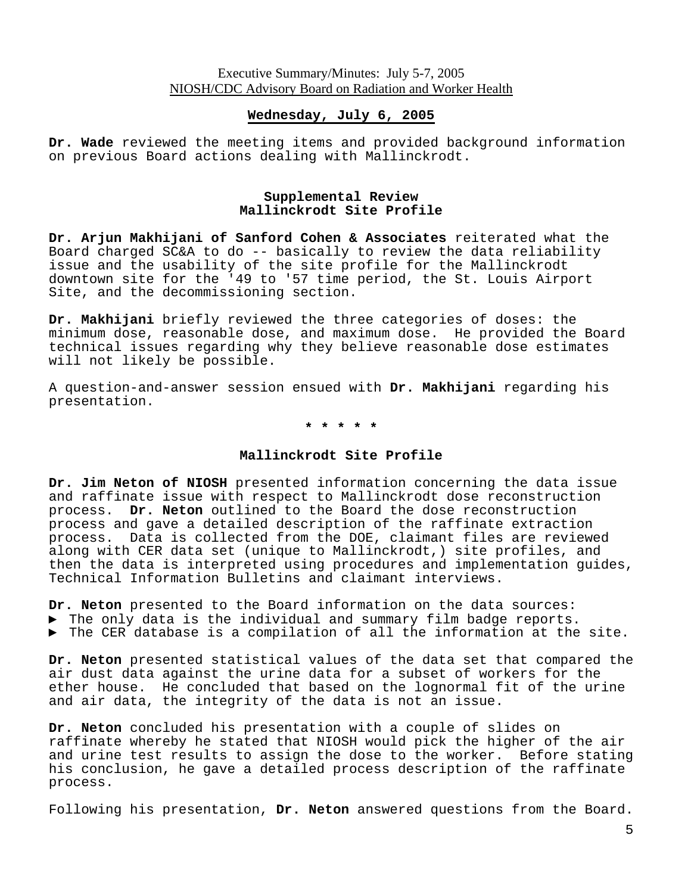#### **Wednesday, July 6, 2005**

**Dr. Wade** reviewed the meeting items and provided background information on previous Board actions dealing with Mallinckrodt.

### **Supplemental Review Mallinckrodt Site Profile**

**Dr. Arjun Makhijani of Sanford Cohen & Associates** reiterated what the Board charged SC&A to do -- basically to review the data reliability issue and the usability of the site profile for the Mallinckrodt downtown site for the '49 to '57 time period, the St. Louis Airport Site, and the decommissioning section.

**Dr. Makhijani** briefly reviewed the three categories of doses: the minimum dose, reasonable dose, and maximum dose. He provided the Board technical issues regarding why they believe reasonable dose estimates will not likely be possible.

A question-and-answer session ensued with **Dr. Makhijani** regarding his presentation.

**\* \* \* \* \*** 

#### **Mallinckrodt Site Profile**

**Dr. Jim Neton of NIOSH** presented information concerning the data issue and raffinate issue with respect to Mallinckrodt dose reconstruction process. **Dr. Neton** outlined to the Board the dose reconstruction process and gave a detailed description of the raffinate extraction process. Data is collected from the DOE, claimant files are reviewed along with CER data set (unique to Mallinckrodt,) site profiles, and then the data is interpreted using procedures and implementation guides, Technical Information Bulletins and claimant interviews.

**Dr. Neton** presented to the Board information on the data sources:

- ► The only data is the individual and summary film badge reports.
- ► The CER database is a compilation of all the information at the site.

**Dr. Neton** presented statistical values of the data set that compared the air dust data against the urine data for a subset of workers for the ether house. He concluded that based on the lognormal fit of the urine and air data, the integrity of the data is not an issue.

**Dr. Neton** concluded his presentation with a couple of slides on raffinate whereby he stated that NIOSH would pick the higher of the air and urine test results to assign the dose to the worker. Before stating his conclusion, he gave a detailed process description of the raffinate process.

Following his presentation, **Dr. Neton** answered questions from the Board.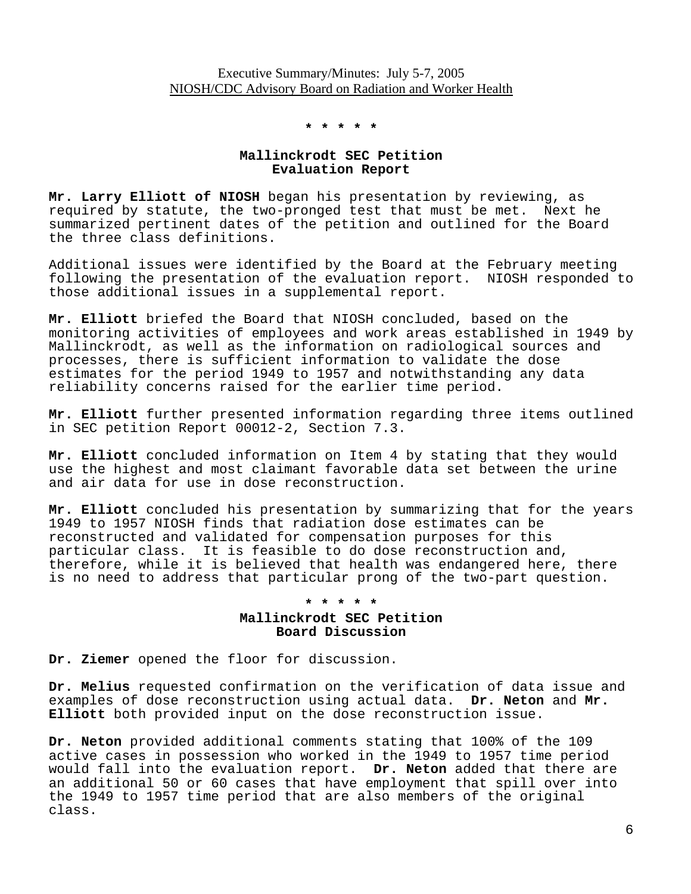**\* \* \* \* \*** 

## **Mallinckrodt SEC Petition Evaluation Report**

**Mr. Larry Elliott of NIOSH** began his presentation by reviewing, as required by statute, the two-pronged test that must be met. Next he summarized pertinent dates of the petition and outlined for the Board the three class definitions.

Additional issues were identified by the Board at the February meeting following the presentation of the evaluation report. NIOSH responded to those additional issues in a supplemental report.

**Mr. Elliott** briefed the Board that NIOSH concluded, based on the monitoring activities of employees and work areas established in 1949 by Mallinckrodt, as well as the information on radiological sources and processes, there is sufficient information to validate the dose estimates for the period 1949 to 1957 and notwithstanding any data reliability concerns raised for the earlier time period.

**Mr. Elliott** further presented information regarding three items outlined in SEC petition Report 00012-2, Section 7.3.

**Mr. Elliott** concluded information on Item 4 by stating that they would use the highest and most claimant favorable data set between the urine and air data for use in dose reconstruction.

**Mr. Elliott** concluded his presentation by summarizing that for the years 1949 to 1957 NIOSH finds that radiation dose estimates can be reconstructed and validated for compensation purposes for this particular class. It is feasible to do dose reconstruction and, therefore, while it is believed that health was endangered here, there is no need to address that particular prong of the two-part question.

## **\* \* \* \* \* Mallinckrodt SEC Petition Board Discussion**

**Dr. Ziemer** opened the floor for discussion.

**Dr. Melius** requested confirmation on the verification of data issue and examples of dose reconstruction using actual data. **Dr. Neton** and **Mr. Elliott** both provided input on the dose reconstruction issue.

**Dr. Neton** provided additional comments stating that 100% of the 109 active cases in possession who worked in the 1949 to 1957 time period would fall into the evaluation report. **Dr. Neton** added that there are an additional 50 or 60 cases that have employment that spill over into the 1949 to 1957 time period that are also members of the original class.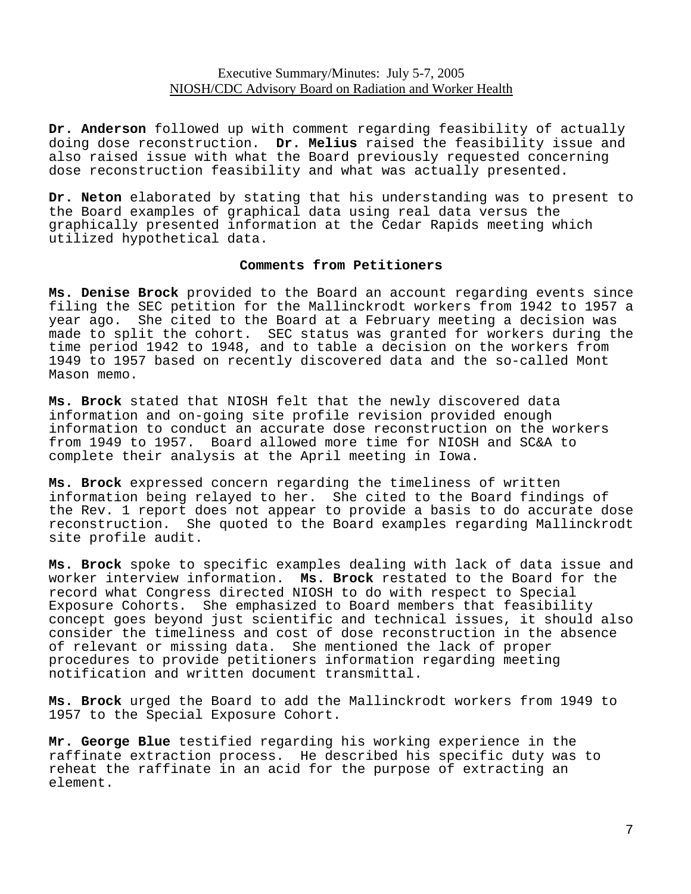**Dr. Anderson** followed up with comment regarding feasibility of actually doing dose reconstruction. **Dr. Melius** raised the feasibility issue and also raised issue with what the Board previously requested concerning dose reconstruction feasibility and what was actually presented.

**Dr. Neton** elaborated by stating that his understanding was to present to the Board examples of graphical data using real data versus the graphically presented information at the Cedar Rapids meeting which utilized hypothetical data.

#### **Comments from Petitioners**

**Ms. Denise Brock** provided to the Board an account regarding events since filing the SEC petition for the Mallinckrodt workers from 1942 to 1957 a year ago. She cited to the Board at a February meeting a decision was made to split the cohort. SEC status was granted for workers during the time period 1942 to 1948, and to table a decision on the workers from 1949 to 1957 based on recently discovered data and the so-called Mont Mason memo.

**Ms. Brock** stated that NIOSH felt that the newly discovered data information and on-going site profile revision provided enough information to conduct an accurate dose reconstruction on the workers from 1949 to 1957. Board allowed more time for NIOSH and SC&A to complete their analysis at the April meeting in Iowa.

**Ms. Brock** expressed concern regarding the timeliness of written information being relayed to her. She cited to the Board findings of the Rev. 1 report does not appear to provide a basis to do accurate dose reconstruction. She quoted to the Board examples regarding Mallinckrodt site profile audit.

**Ms. Brock** spoke to specific examples dealing with lack of data issue and worker interview information. **Ms. Brock** restated to the Board for the record what Congress directed NIOSH to do with respect to Special Exposure Cohorts. She emphasized to Board members that feasibility concept goes beyond just scientific and technical issues, it should also consider the timeliness and cost of dose reconstruction in the absence of relevant or missing data. She mentioned the lack of proper procedures to provide petitioners information regarding meeting notification and written document transmittal.

**Ms. Brock** urged the Board to add the Mallinckrodt workers from 1949 to 1957 to the Special Exposure Cohort.

**Mr. George Blue** testified regarding his working experience in the raffinate extraction process. He described his specific duty was to reheat the raffinate in an acid for the purpose of extracting an element.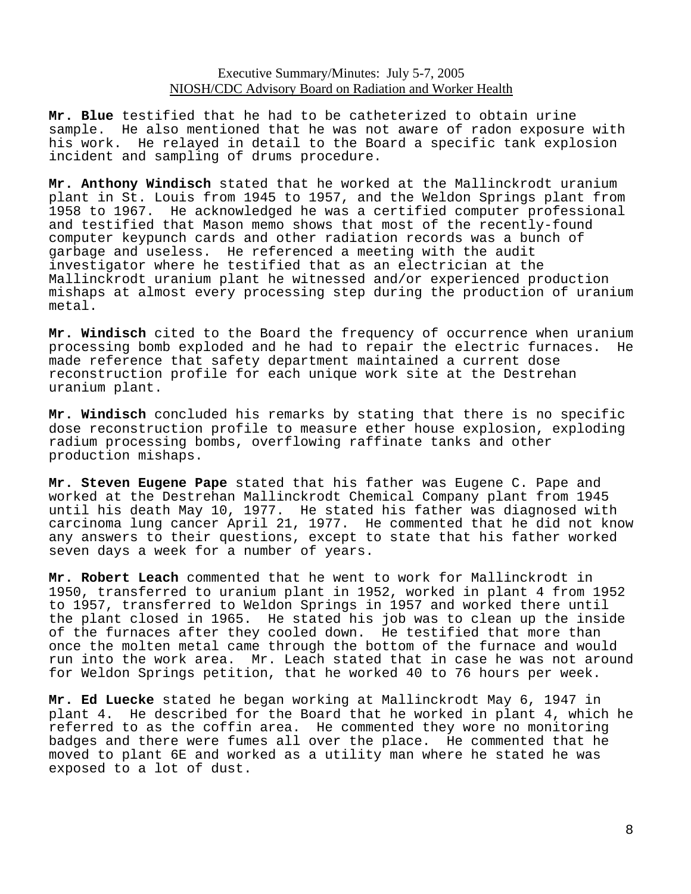**Mr. Blue** testified that he had to be catheterized to obtain urine sample. He also mentioned that he was not aware of radon exposure with his work. He relayed in detail to the Board a specific tank explosion incident and sampling of drums procedure.

**Mr. Anthony Windisch** stated that he worked at the Mallinckrodt uranium plant in St. Louis from 1945 to 1957, and the Weldon Springs plant from 1958 to 1967. He acknowledged he was a certified computer professional and testified that Mason memo shows that most of the recently-found computer keypunch cards and other radiation records was a bunch of garbage and useless. He referenced a meeting with the audit investigator where he testified that as an electrician at the Mallinckrodt uranium plant he witnessed and/or experienced production mishaps at almost every processing step during the production of uranium metal.

**Mr. Windisch** cited to the Board the frequency of occurrence when uranium processing bomb exploded and he had to repair the electric furnaces. He made reference that safety department maintained a current dose reconstruction profile for each unique work site at the Destrehan uranium plant.

**Mr. Windisch** concluded his remarks by stating that there is no specific dose reconstruction profile to measure ether house explosion, exploding radium processing bombs, overflowing raffinate tanks and other production mishaps.

**Mr. Steven Eugene Pape** stated that his father was Eugene C. Pape and worked at the Destrehan Mallinckrodt Chemical Company plant from 1945 until his death May 10, 1977. He stated his father was diagnosed with carcinoma lung cancer April 21, 1977. He commented that he did not know any answers to their questions, except to state that his father worked seven days a week for a number of years.

**Mr. Robert Leach** commented that he went to work for Mallinckrodt in 1950, transferred to uranium plant in 1952, worked in plant 4 from 1952 to 1957, transferred to Weldon Springs in 1957 and worked there until the plant closed in 1965. He stated his job was to clean up the inside of the furnaces after they cooled down. He testified that more than once the molten metal came through the bottom of the furnace and would run into the work area. Mr. Leach stated that in case he was not around for Weldon Springs petition, that he worked 40 to 76 hours per week.

**Mr. Ed Luecke** stated he began working at Mallinckrodt May 6, 1947 in plant 4. He described for the Board that he worked in plant 4, which he referred to as the coffin area. He commented they wore no monitoring badges and there were fumes all over the place. He commented that he moved to plant 6E and worked as a utility man where he stated he was exposed to a lot of dust.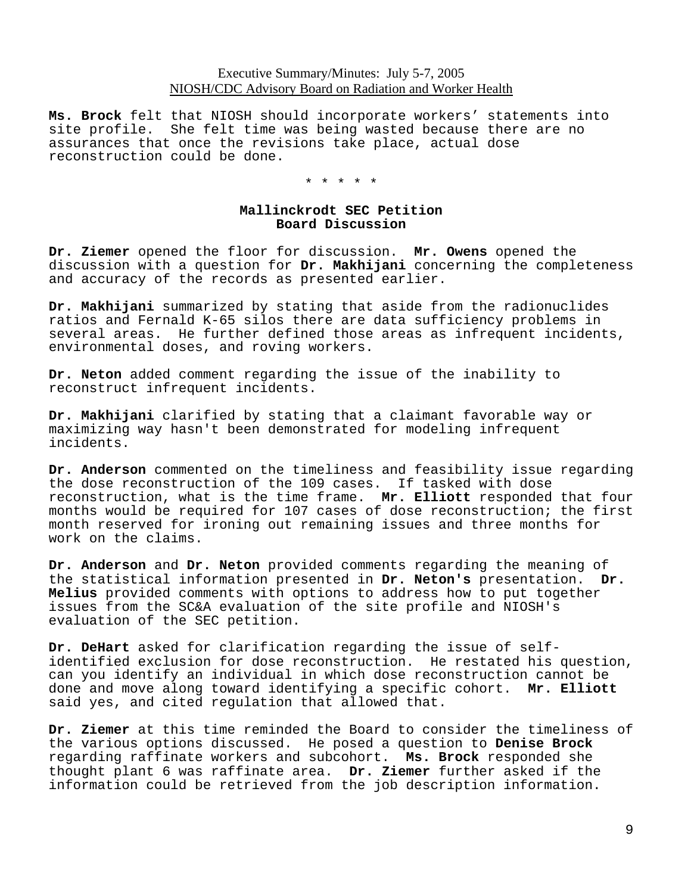**Ms. Brock** felt that NIOSH should incorporate workers' statements into site profile. She felt time was being wasted because there are no assurances that once the revisions take place, actual dose reconstruction could be done.

\* \* \* \* \*

#### **Mallinckrodt SEC Petition Board Discussion**

**Dr. Ziemer** opened the floor for discussion. **Mr. Owens** opened the discussion with a question for **Dr. Makhijani** concerning the completeness and accuracy of the records as presented earlier.

**Dr. Makhijani** summarized by stating that aside from the radionuclides ratios and Fernald K-65 silos there are data sufficiency problems in several areas. He further defined those areas as infrequent incidents, environmental doses, and roving workers.

**Dr. Neton** added comment regarding the issue of the inability to reconstruct infrequent incidents.

**Dr. Makhijani** clarified by stating that a claimant favorable way or maximizing way hasn't been demonstrated for modeling infrequent incidents.

**Dr. Anderson** commented on the timeliness and feasibility issue regarding the dose reconstruction of the 109 cases. If tasked with dose reconstruction, what is the time frame. **Mr. Elliott** responded that four months would be required for 107 cases of dose reconstruction; the first month reserved for ironing out remaining issues and three months for work on the claims.

**Dr. Anderson** and **Dr. Neton** provided comments regarding the meaning of the statistical information presented in **Dr. Neton's** presentation. **Dr. Melius** provided comments with options to address how to put together issues from the SC&A evaluation of the site profile and NIOSH's evaluation of the SEC petition.

**Dr. DeHart** asked for clarification regarding the issue of selfidentified exclusion for dose reconstruction. He restated his question, can you identify an individual in which dose reconstruction cannot be done and move along toward identifying a specific cohort. **Mr. Elliott**  said yes, and cited regulation that allowed that.

**Dr. Ziemer** at this time reminded the Board to consider the timeliness of the various options discussed. He posed a question to **Denise Brock**  regarding raffinate workers and subcohort. **Ms. Brock** responded she thought plant 6 was raffinate area. **Dr. Ziemer** further asked if the information could be retrieved from the job description information.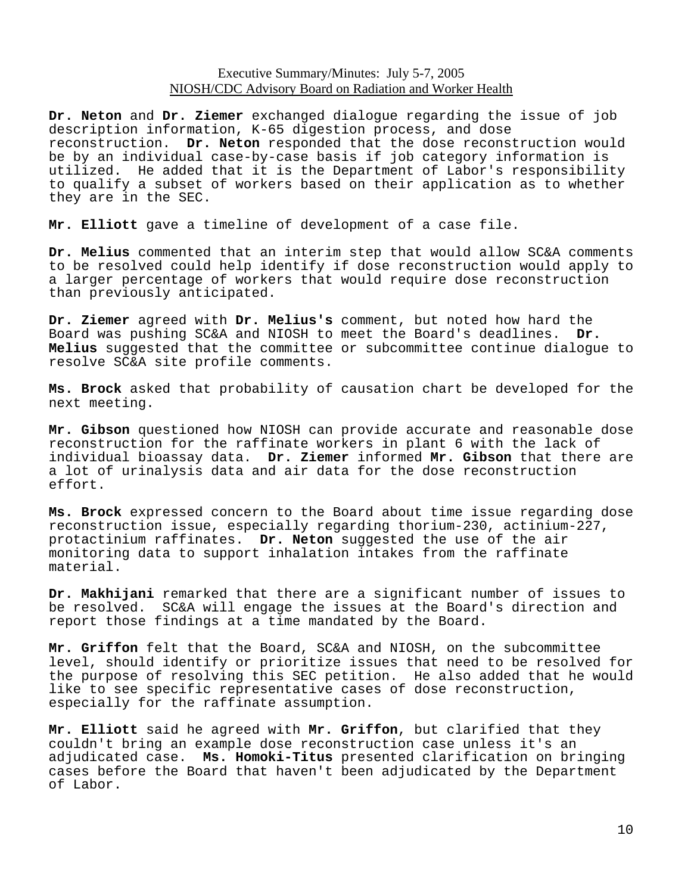**Dr. Neton** and **Dr. Ziemer** exchanged dialogue regarding the issue of job description information, K-65 digestion process, and dose reconstruction. **Dr. Neton** responded that the dose reconstruction would be by an individual case-by-case basis if job category information is utilized. He added that it is the Department of Labor's responsibility to qualify a subset of workers based on their application as to whether they are in the SEC.

**Mr. Elliott** gave a timeline of development of a case file.

**Dr. Melius** commented that an interim step that would allow SC&A comments to be resolved could help identify if dose reconstruction would apply to a larger percentage of workers that would require dose reconstruction than previously anticipated.

**Dr. Ziemer** agreed with **Dr. Melius's** comment, but noted how hard the Board was pushing SC&A and NIOSH to meet the Board's deadlines. **Dr. Melius** suggested that the committee or subcommittee continue dialogue to resolve SC&A site profile comments.

**Ms. Brock** asked that probability of causation chart be developed for the next meeting.

**Mr. Gibson** questioned how NIOSH can provide accurate and reasonable dose reconstruction for the raffinate workers in plant 6 with the lack of individual bioassay data. **Dr. Ziemer** informed **Mr. Gibson** that there are a lot of urinalysis data and air data for the dose reconstruction effort.

**Ms. Brock** expressed concern to the Board about time issue regarding dose reconstruction issue, especially regarding thorium-230, actinium-227, protactinium raffinates. **Dr. Neton** suggested the use of the air monitoring data to support inhalation intakes from the raffinate material.

**Dr. Makhijani** remarked that there are a significant number of issues to be resolved. SC&A will engage the issues at the Board's direction and report those findings at a time mandated by the Board.

**Mr. Griffon** felt that the Board, SC&A and NIOSH, on the subcommittee level, should identify or prioritize issues that need to be resolved for the purpose of resolving this SEC petition. He also added that he would like to see specific representative cases of dose reconstruction, especially for the raffinate assumption.

**Mr. Elliott** said he agreed with **Mr. Griffon**, but clarified that they couldn't bring an example dose reconstruction case unless it's an adjudicated case. **Ms. Homoki-Titus** presented clarification on bringing cases before the Board that haven't been adjudicated by the Department of Labor.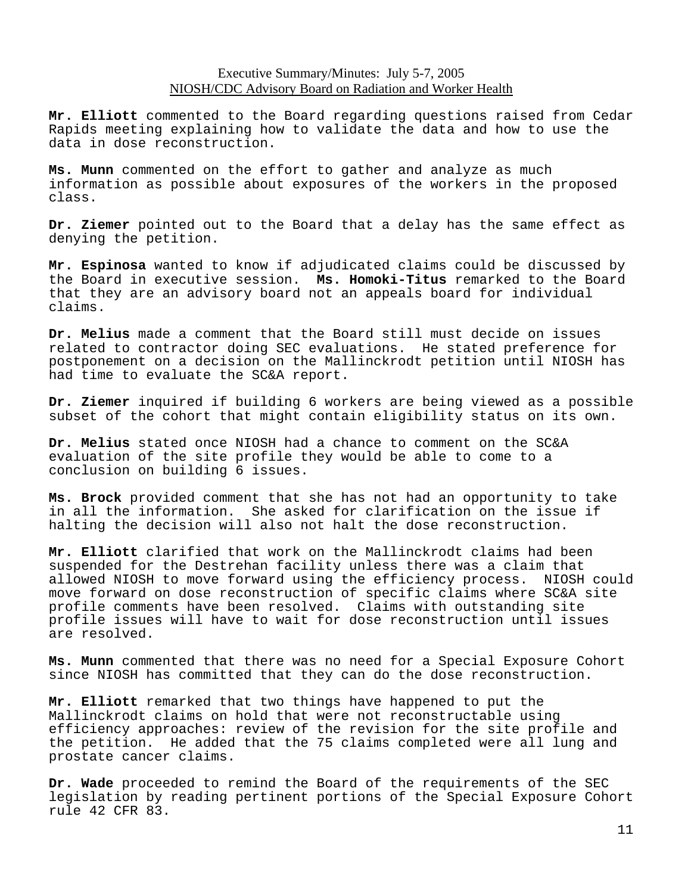**Mr. Elliott** commented to the Board regarding questions raised from Cedar Rapids meeting explaining how to validate the data and how to use the data in dose reconstruction.

**Ms. Munn** commented on the effort to gather and analyze as much information as possible about exposures of the workers in the proposed class.

**Dr. Ziemer** pointed out to the Board that a delay has the same effect as denying the petition.

**Mr. Espinosa** wanted to know if adjudicated claims could be discussed by the Board in executive session. **Ms. Homoki-Titus** remarked to the Board that they are an advisory board not an appeals board for individual claims.

**Dr. Melius** made a comment that the Board still must decide on issues related to contractor doing SEC evaluations. He stated preference for postponement on a decision on the Mallinckrodt petition until NIOSH has had time to evaluate the SC&A report.

**Dr. Ziemer** inquired if building 6 workers are being viewed as a possible subset of the cohort that might contain eligibility status on its own.

**Dr. Melius** stated once NIOSH had a chance to comment on the SC&A evaluation of the site profile they would be able to come to a conclusion on building 6 issues.

**Ms. Brock** provided comment that she has not had an opportunity to take in all the information. She asked for clarification on the issue if halting the decision will also not halt the dose reconstruction.

**Mr. Elliott** clarified that work on the Mallinckrodt claims had been suspended for the Destrehan facility unless there was a claim that allowed NIOSH to move forward using the efficiency process. NIOSH could move forward on dose reconstruction of specific claims where SC&A site profile comments have been resolved. Claims with outstanding site profile issues will have to wait for dose reconstruction until issues are resolved.

**Ms. Munn** commented that there was no need for a Special Exposure Cohort since NIOSH has committed that they can do the dose reconstruction.

**Mr. Elliott** remarked that two things have happened to put the Mallinckrodt claims on hold that were not reconstructable using efficiency approaches: review of the revision for the site profile and the petition. He added that the 75 claims completed were all lung and prostate cancer claims.

**Dr. Wade** proceeded to remind the Board of the requirements of the SEC legislation by reading pertinent portions of the Special Exposure Cohort rule 42 CFR 83.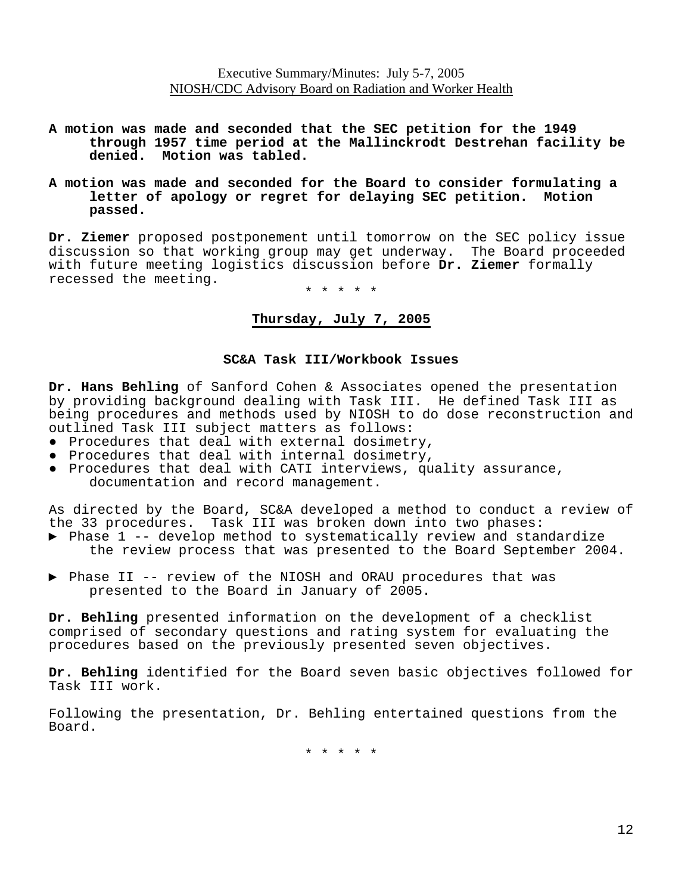- **A motion was made and seconded that the SEC petition for the 1949 through 1957 time period at the Mallinckrodt Destrehan facility be**
- **denied. Motion was tabled. A motion was made and seconded for the Board to consider formulating a letter of apology or regret for delaying SEC petition. Motion passed.**

**Dr. Ziemer** proposed postponement until tomorrow on the SEC policy issue discussion so that working group may get underway. The Board proceeded with future meeting logistics discussion before **Dr. Ziemer** formally recessed the meeting.

\* \* \* \* \*

## **Thursday, July 7, 2005**

#### **SC&A Task III/Workbook Issues**

**Dr. Hans Behling** of Sanford Cohen & Associates opened the presentation by providing background dealing with Task III. He defined Task III as being procedures and methods used by NIOSH to do dose reconstruction and outlined Task III subject matters as follows:

- Procedures that deal with external dosimetry,
- Procedures that deal with internal dosimetry,
- ● Procedures that deal with CATI interviews, quality assurance, documentation and record management.

As directed by the Board, SC&A developed a method to conduct a review of the 33 procedures. Task III was broken down into two phases:

- ▶ Phase 1 -- develop method to systematically review and standardize the review process that was presented to the Board September 2004.
- ▶ Phase II -- review of the NIOSH and ORAU procedures that was presented to the Board in January of 2005.

**Dr. Behling** presented information on the development of a checklist comprised of secondary questions and rating system for evaluating the procedures based on the previously presented seven objectives.

**Dr. Behling** identified for the Board seven basic objectives followed for Task III work.

Following the presentation, Dr. Behling entertained questions from the Board.

\* \* \* \* \*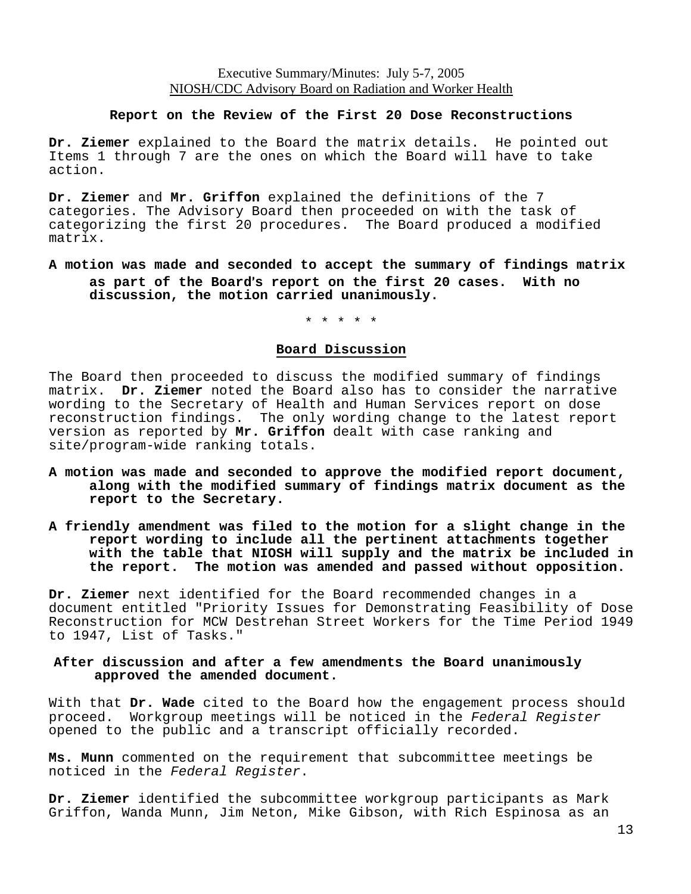#### **Report on the Review of the First 20 Dose Reconstructions**

**Dr. Ziemer** explained to the Board the matrix details. He pointed out Items 1 through 7 are the ones on which the Board will have to take action.

**Dr. Ziemer** and **Mr. Griffon** explained the definitions of the 7 categories. The Advisory Board then proceeded on with the task of categorizing the first 20 procedures. The Board produced a modified matrix.

### **A motion was made and seconded to accept the summary of findings matrix as part of the Board**=**s report on the first 20 cases. With no discussion, the motion carried unanimously.**

\* \* \* \* \*

#### **Board Discussion**

The Board then proceeded to discuss the modified summary of findings matrix. **Dr. Ziemer** noted the Board also has to consider the narrative wording to the Secretary of Health and Human Services report on dose reconstruction findings. The only wording change to the latest report version as reported by **Mr. Griffon** dealt with case ranking and site/program-wide ranking totals.

- **A motion was made and seconded to approve the modified report document, along with the modified summary of findings matrix document as the report to the Secretary.**
- **A friendly amendment was filed to the motion for a slight change in the report wording to include all the pertinent attachments together with the table that NIOSH will supply and the matrix be included in the report. The motion was amended and passed without opposition.**

**Dr. Ziemer** next identified for the Board recommended changes in a document entitled "Priority Issues for Demonstrating Feasibility of Dose Reconstruction for MCW Destrehan Street Workers for the Time Period 1949 to 1947, List of Tasks."

#### **After discussion and after a few amendments the Board unanimously approved the amended document.**

With that **Dr. Wade** cited to the Board how the engagement process should proceed. Workgroup meetings will be noticed in the *Federal Register* opened to the public and a transcript officially recorded.

**Ms. Munn** commented on the requirement that subcommittee meetings be noticed in the *Federal Register*.

**Dr. Ziemer** identified the subcommittee workgroup participants as Mark Griffon, Wanda Munn, Jim Neton, Mike Gibson, with Rich Espinosa as an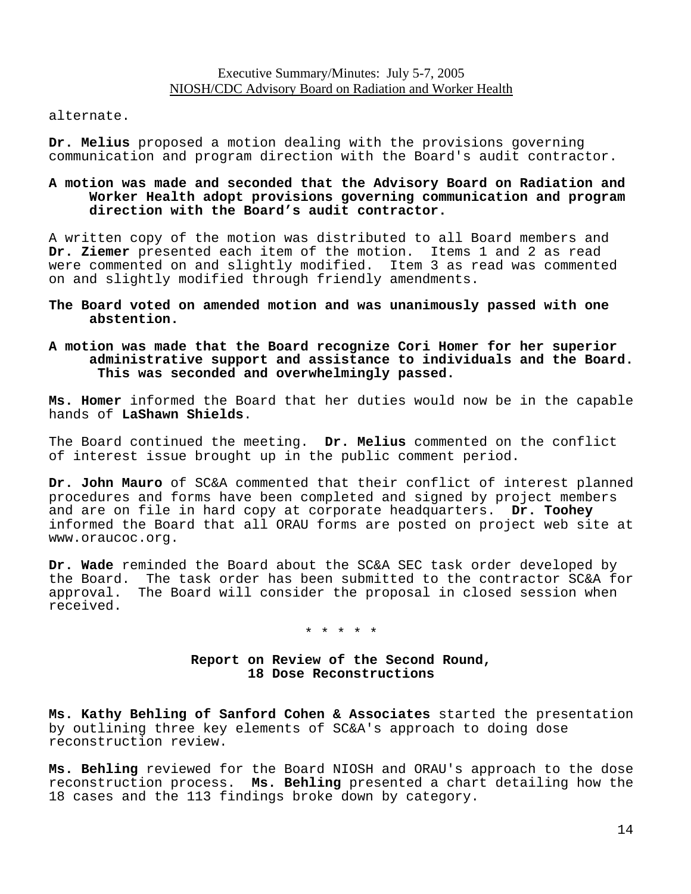alternate.

**Dr. Melius** proposed a motion dealing with the provisions governing communication and program direction with the Board's audit contractor.

### **A motion was made and seconded that the Advisory Board on Radiation and Worker Health adopt provisions governing communication and program direction with the Board's audit contractor.**

A written copy of the motion was distributed to all Board members and **Dr. Ziemer** presented each item of the motion. Items 1 and 2 as read were commented on and slightly modified. Item 3 as read was commented on and slightly modified through friendly amendments.

**The Board voted on amended motion and was unanimously passed with one abstention.** 

#### **A motion was made that the Board recognize Cori Homer for her superior administrative support and assistance to individuals and the Board. This was seconded and overwhelmingly passed.**

**Ms. Homer** informed the Board that her duties would now be in the capable hands of **LaShawn Shields**.

The Board continued the meeting. **Dr. Melius** commented on the conflict of interest issue brought up in the public comment period.

**Dr. John Mauro** of SC&A commented that their conflict of interest planned procedures and forms have been completed and signed by project members and are on file in hard copy at corporate headquarters. **Dr. Toohey** informed the Board that all ORAU forms are posted on project web site at www.oraucoc.org.

**Dr. Wade** reminded the Board about the SC&A SEC task order developed by the Board. The task order has been submitted to the contractor SC&A for approval. The Board will consider the proposal in closed session when received.

\* \* \* \* \*

## **Report on Review of the Second Round, 18 Dose Reconstructions**

**Ms. Kathy Behling of Sanford Cohen & Associates** started the presentation by outlining three key elements of SC&A's approach to doing dose reconstruction review.

**Ms. Behling** reviewed for the Board NIOSH and ORAU's approach to the dose reconstruction process. **Ms. Behling** presented a chart detailing how the 18 cases and the 113 findings broke down by category.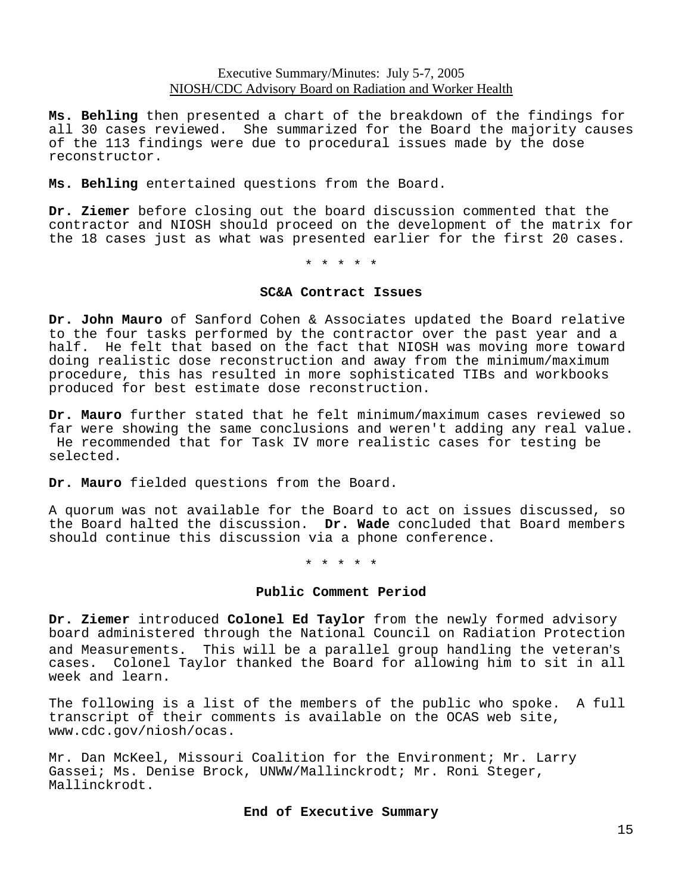**Ms. Behling** then presented a chart of the breakdown of the findings for all 30 cases reviewed. She summarized for the Board the majority causes of the 113 findings were due to procedural issues made by the dose reconstructor.

**Ms. Behling** entertained questions from the Board.

**Dr. Ziemer** before closing out the board discussion commented that the contractor and NIOSH should proceed on the development of the matrix for the 18 cases just as what was presented earlier for the first 20 cases.

\* \* \* \* \*

#### **SC&A Contract Issues**

**Dr. John Mauro** of Sanford Cohen & Associates updated the Board relative to the four tasks performed by the contractor over the past year and a half. He felt that based on the fact that NIOSH was moving more toward doing realistic dose reconstruction and away from the minimum/maximum procedure, this has resulted in more sophisticated TIBs and workbooks produced for best estimate dose reconstruction.

**Dr. Mauro** further stated that he felt minimum/maximum cases reviewed so far were showing the same conclusions and weren't adding any real value. He recommended that for Task IV more realistic cases for testing be selected.

**Dr. Mauro** fielded questions from the Board.

A quorum was not available for the Board to act on issues discussed, so the Board halted the discussion. **Dr. Wade** concluded that Board members should continue this discussion via a phone conference.

\* \* \* \* \*

#### **Public Comment Period**

**Dr. Ziemer** introduced **Colonel Ed Taylor** from the newly formed advisory board administered through the National Council on Radiation Protection and Measurements. This will be a parallel group handling the veteran's cases. Colonel Taylor thanked the Board for allowing him to sit in all week and learn.

The following is a list of the members of the public who spoke. A full transcript of their comments is available on the OCAS web site, www.cdc.gov/niosh/ocas.

Mr. Dan McKeel, Missouri Coalition for the Environment; Mr. Larry Gassei; Ms. Denise Brock, UNWW/Mallinckrodt; Mr. Roni Steger, Mallinckrodt.

#### **End of Executive Summary**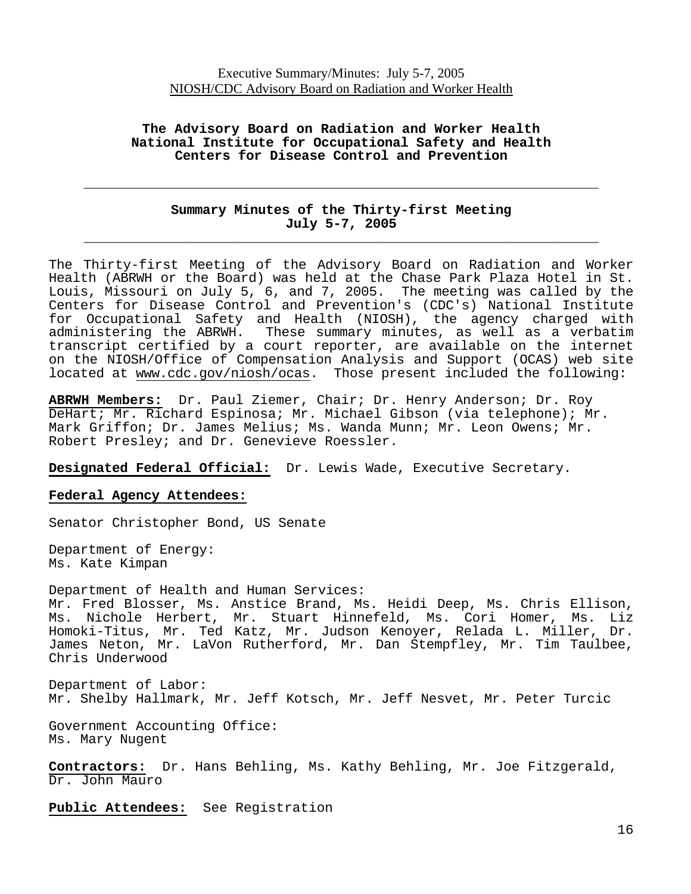### **The Advisory Board on Radiation and Worker Health National Institute for Occupational Safety and Health Centers for Disease Control and Prevention**

## **Summary Minutes of the Thirty-first Meeting July 5-7, 2005 \_\_\_\_\_\_\_\_\_\_\_\_\_\_\_\_\_\_\_\_\_\_\_\_\_\_\_\_\_\_\_\_\_\_\_\_\_\_\_\_\_\_\_\_\_\_\_\_\_\_\_\_\_\_\_\_\_\_\_\_\_\_\_\_\_**

**\_\_\_\_\_\_\_\_\_\_\_\_\_\_\_\_\_\_\_\_\_\_\_\_\_\_\_\_\_\_\_\_\_\_\_\_\_\_\_\_\_\_\_\_\_\_\_\_\_\_\_\_\_\_\_\_\_\_\_\_\_\_\_\_\_** 

The Thirty-first Meeting of the Advisory Board on Radiation and Worker Health (ABRWH or the Board) was held at the Chase Park Plaza Hotel in St. Louis, Missouri on July 5, 6, and 7, 2005. The meeting was called by the Centers for Disease Control and Prevention's (CDC's) National Institute for Occupational Safety and Health (NIOSH), the agency charged with administering the ABRWH. These summary minutes, as well as a verbatim transcript certified by a court reporter, are available on the internet on the NIOSH/Office of Compensation Analysis and Support (OCAS) web site located at www.cdc.gov/niosh/ocas. Those present included the following:

**ABRWH Members:** Dr. Paul Ziemer, Chair; Dr. Henry Anderson; Dr. Roy DeHart; Mr. Richard Espinosa; Mr. Michael Gibson (via telephone); Mr. Mark Griffon; Dr. James Melius; Ms. Wanda Munn; Mr. Leon Owens; Mr. Robert Presley; and Dr. Genevieve Roessler.

**Designated Federal Official:** Dr. Lewis Wade, Executive Secretary.

#### **Federal Agency Attendees:**

Senator Christopher Bond, US Senate

Department of Energy: Ms. Kate Kimpan

Department of Health and Human Services: Mr. Fred Blosser, Ms. Anstice Brand, Ms. Heidi Deep, Ms. Chris Ellison, Ms. Nichole Herbert, Mr. Stuart Hinnefeld, Ms. Cori Homer, Ms. Liz Homoki-Titus, Mr. Ted Katz, Mr. Judson Kenoyer, Relada L. Miller, Dr. James Neton, Mr. LaVon Rutherford, Mr. Dan Stempfley, Mr. Tim Taulbee, Chris Underwood

Department of Labor: Mr. Shelby Hallmark, Mr. Jeff Kotsch, Mr. Jeff Nesvet, Mr. Peter Turcic

Government Accounting Office: Ms. Mary Nugent

**Contractors:** Dr. Hans Behling, Ms. Kathy Behling, Mr. Joe Fitzgerald, Dr. John Mauro

**Public Attendees:** See Registration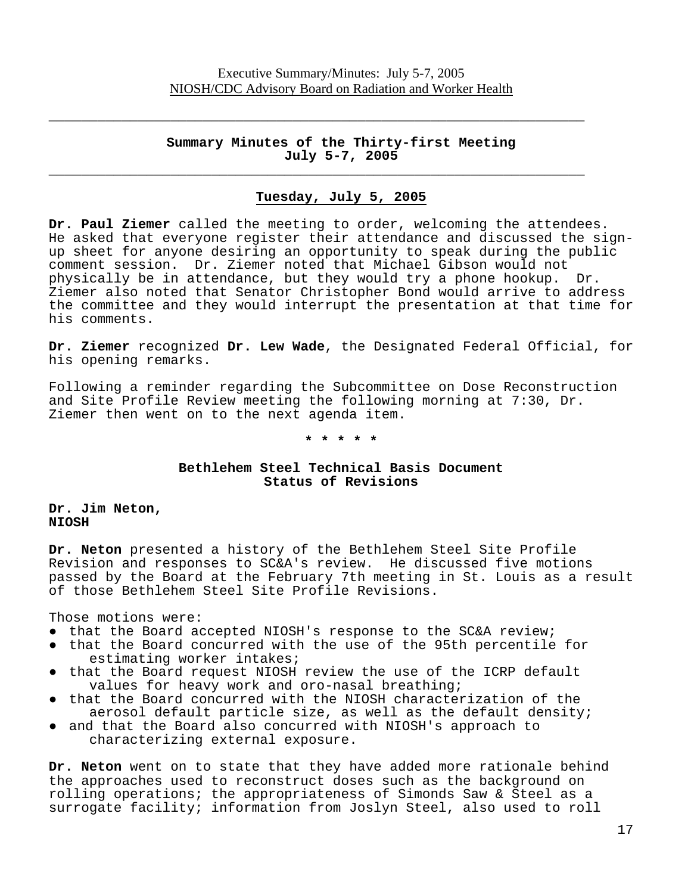$\overline{\phantom{a}}$  , and the contract of the contract of the contract of the contract of the contract of the contract of the contract of the contract of the contract of the contract of the contract of the contract of the contrac

 $\overline{\phantom{a}}$  , and the contract of the contract of the contract of the contract of the contract of the contract of the contract of the contract of the contract of the contract of the contract of the contract of the contrac

### **Summary Minutes of the Thirty-first Meeting July 5-7, 2005**

## **Tuesday, July 5, 2005**

**Dr. Paul Ziemer** called the meeting to order, welcoming the attendees. He asked that everyone register their attendance and discussed the signup sheet for anyone desiring an opportunity to speak during the public comment session. Dr. Ziemer noted that Michael Gibson would not<br>physically be in attendance, but they would try a phone hookup. Dr. physically be in attendance, but they would try a phone hookup. Ziemer also noted that Senator Christopher Bond would arrive to address the committee and they would interrupt the presentation at that time for his comments.

**Dr. Ziemer** recognized **Dr. Lew Wade**, the Designated Federal Official, for his opening remarks.

Following a reminder regarding the Subcommittee on Dose Reconstruction and Site Profile Review meeting the following morning at 7:30, Dr. Ziemer then went on to the next agenda item.

**\* \* \* \* \***

## **Bethlehem Steel Technical Basis Document Status of Revisions**

**NIOSH Dr. Jim Neton,**

Dr. Neton presented a history of the Bethlehem Steel Site Profile Revision and responses to SC&A's review. He discussed five motions passed by the Board at the February 7th meeting in St. Louis as a result of those Bethlehem Steel Site Profile Revisions.

Those motions were:

- that the Board accepted NIOSH's response to the SC&A review;
- ● that the Board concurred with the use of the 95th percentile for estimating worker intakes;
- that the Board request NIOSH review the use of the ICRP default values for heavy work and oro-nasal breathing;
- that the Board concurred with the NIOSH characterization of the aerosol default particle size, as well as the default density;
- and that the Board also concurred with NIOSH's approach to characterizing external exposure.

**Dr. Neton** went on to state that they have added more rationale behind the approaches used to reconstruct doses such as the background on rolling operations; the appropriateness of Simonds Saw & Steel as a surrogate facility; information from Joslyn Steel, also used to roll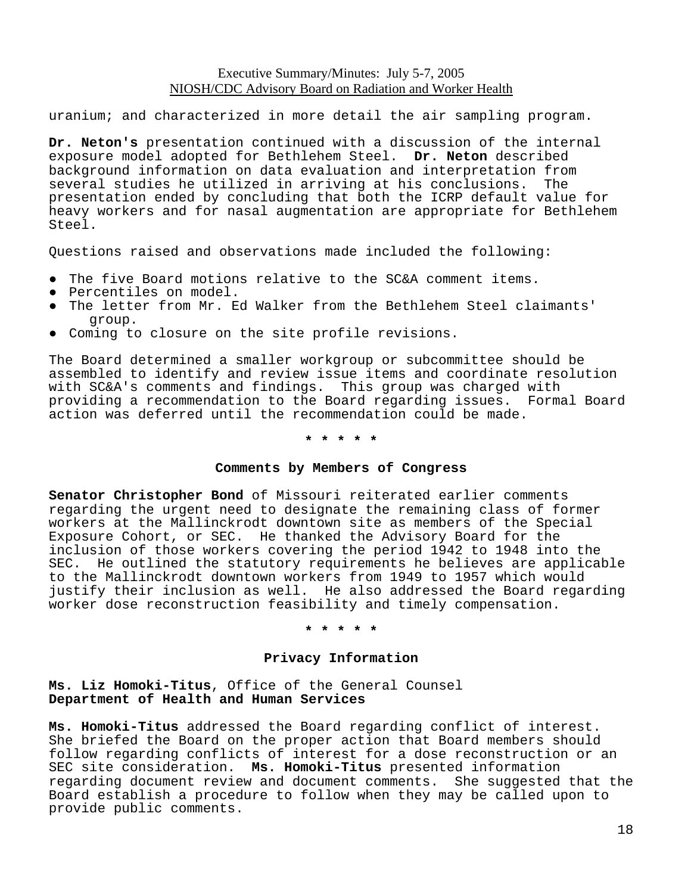uranium; and characterized in more detail the air sampling program.

**Dr. Neton's** presentation continued with a discussion of the internal exposure model adopted for Bethlehem Steel. **Dr. Neton** described background information on data evaluation and interpretation from several studies he utilized in arriving at his conclusions. The presentation ended by concluding that both the ICRP default value for heavy workers and for nasal augmentation are appropriate for Bethlehem Steel.

Questions raised and observations made included the following:

- The five Board motions relative to the SC&A comment items.
- Percentiles on model.
- ● The letter from Mr. Ed Walker from the Bethlehem Steel claimants' group.
- Coming to closure on the site profile revisions.

The Board determined a smaller workgroup or subcommittee should be assembled to identify and review issue items and coordinate resolution with SC&A's comments and findings. This group was charged with providing a recommendation to the Board regarding issues. Formal Board action was deferred until the recommendation could be made.

**\* \* \* \* \*** 

#### **Comments by Members of Congress**

**Senator Christopher Bond** of Missouri reiterated earlier comments regarding the urgent need to designate the remaining class of former workers at the Mallinckrodt downtown site as members of the Special Exposure Cohort, or SEC. He thanked the Advisory Board for the inclusion of those workers covering the period 1942 to 1948 into the SEC. He outlined the statutory requirements he believes are applicable to the Mallinckrodt downtown workers from 1949 to 1957 which would justify their inclusion as well. He also addressed the Board regarding worker dose reconstruction feasibility and timely compensation.

**\* \* \* \* \***

### **Privacy Information**

**Ms. Liz Homoki-Titus**, Office of the General Counsel **Department of Health and Human Services** 

**Ms. Homoki-Titus** addressed the Board regarding conflict of interest. She briefed the Board on the proper action that Board members should follow regarding conflicts of interest for a dose reconstruction or an SEC site consideration. **Ms. Homoki-Titus** presented information regarding document review and document comments. She suggested that the Board establish a procedure to follow when they may be called upon to provide public comments.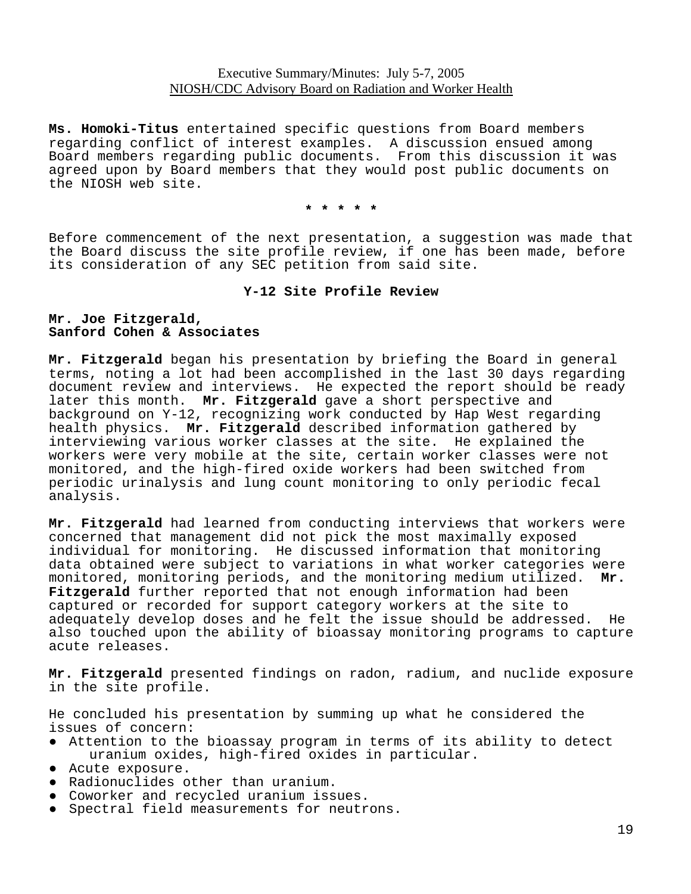**Ms. Homoki-Titus** entertained specific questions from Board members regarding conflict of interest examples. A discussion ensued among Board members regarding public documents. From this discussion it was agreed upon by Board members that they would post public documents on the NIOSH web site.

**\* \* \* \* \*** 

Before commencement of the next presentation, a suggestion was made that the Board discuss the site profile review, if one has been made, before its consideration of any SEC petition from said site.

#### **Y-12 Site Profile Review**

#### **Mr. Joe Fitzgerald, Sanford Cohen & Associates**

**Mr. Fitzgerald** began his presentation by briefing the Board in general terms, noting a lot had been accomplished in the last 30 days regarding document review and interviews. He expected the report should be ready later this month. **Mr. Fitzgerald** gave a short perspective and background on Y-12, recognizing work conducted by Hap West regarding health physics. **Mr. Fitzgerald** described information gathered by interviewing various worker classes at the site. He explained the workers were very mobile at the site, certain worker classes were not monitored, and the high-fired oxide workers had been switched from periodic urinalysis and lung count monitoring to only periodic fecal analysis.

**Mr. Fitzgerald** had learned from conducting interviews that workers were concerned that management did not pick the most maximally exposed individual for monitoring. He discussed information that monitoring data obtained were subject to variations in what worker categories were monitored, monitoring periods, and the monitoring medium utilized. **Mr. Fitzgerald** further reported that not enough information had been captured or recorded for support category workers at the site to adequately develop doses and he felt the issue should be addressed. He also touched upon the ability of bioassay monitoring programs to capture acute releases.

**Mr. Fitzgerald** presented findings on radon, radium, and nuclide exposure in the site profile.

He concluded his presentation by summing up what he considered the issues of concern:

- Attention to the bioassay program in terms of its ability to detect uranium oxides, high-fired oxides in particular.
- Acute exposure.
- Radionuclides other than uranium.
- Coworker and recycled uranium issues.
- Spectral field measurements for neutrons.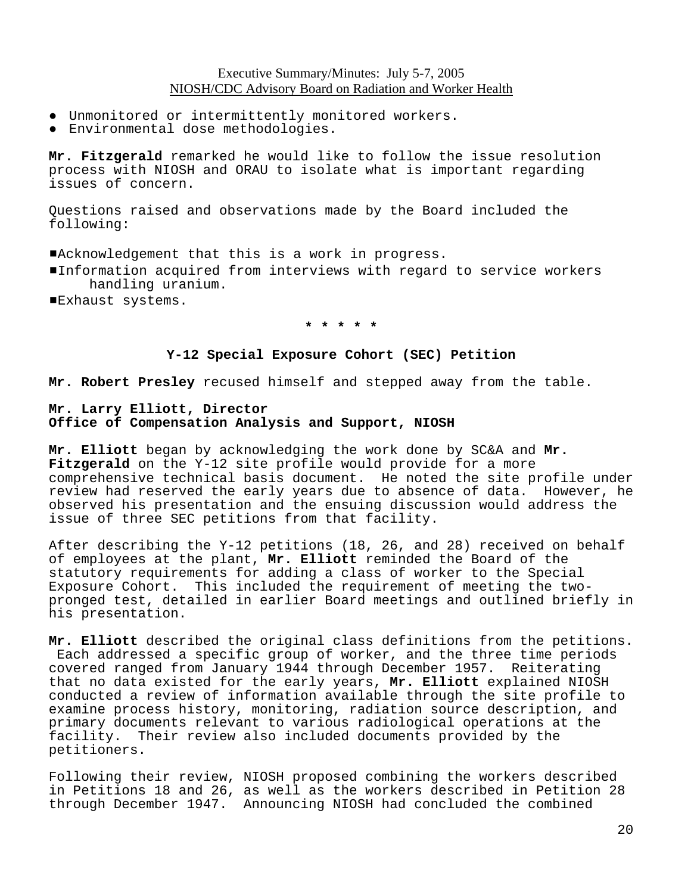- Unmonitored or intermittently monitored workers.
- Environmental dose methodologies.

**Mr. Fitzgerald** remarked he would like to follow the issue resolution process with NIOSH and ORAU to isolate what is important regarding issues of concern.

Questions raised and observations made by the Board included the following:

#Acknowledgement that this is a work in progress.

- Information acquired from interviews with regard to service workers handling uranium.
- **Exhaust systems.**

#### **\* \* \* \* \***

#### **Y-12 Special Exposure Cohort (SEC) Petition**

**Mr. Robert Presley** recused himself and stepped away from the table.

### **Mr. Larry Elliott, Director Office of Compensation Analysis and Support, NIOSH**

**Mr. Elliott** began by acknowledging the work done by SC&A and **Mr. Fitzgerald** on the Y-12 site profile would provide for a more comprehensive technical basis document. He noted the site profile under review had reserved the early years due to absence of data. However, he observed his presentation and the ensuing discussion would address the issue of three SEC petitions from that facility.

After describing the Y-12 petitions (18, 26, and 28) received on behalf of employees at the plant, **Mr. Elliott** reminded the Board of the statutory requirements for adding a class of worker to the Special Exposure Cohort. This included the requirement of meeting the twopronged test, detailed in earlier Board meetings and outlined briefly in his presentation.

**Mr. Elliott** described the original class definitions from the petitions. Each addressed a specific group of worker, and the three time periods covered ranged from January 1944 through December 1957. Reiterating that no data existed for the early years, **Mr. Elliott** explained NIOSH conducted a review of information available through the site profile to examine process history, monitoring, radiation source description, and primary documents relevant to various radiological operations at the facility. Their review also included documents provided by the petitioners.

Following their review, NIOSH proposed combining the workers described in Petitions 18 and 26, as well as the workers described in Petition 28 through December 1947. Announcing NIOSH had concluded the combined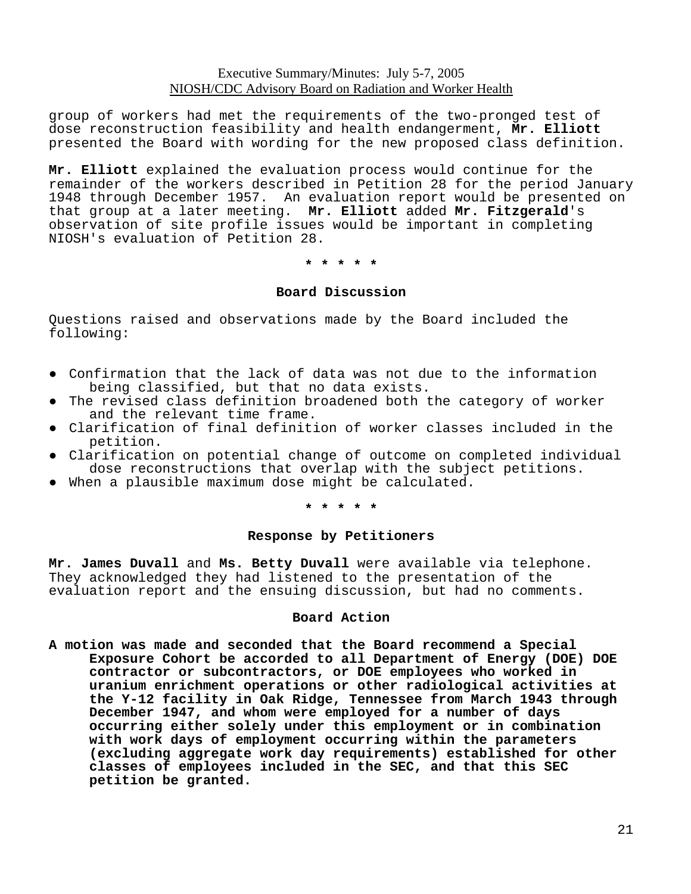group of workers had met the requirements of the two-pronged test of dose reconstruction feasibility and health endangerment, **Mr. Elliott**  presented the Board with wording for the new proposed class definition.

**Mr. Elliott** explained the evaluation process would continue for the remainder of the workers described in Petition 28 for the period January 1948 through December 1957. An evaluation report would be presented on that group at a later meeting. **Mr. Elliott** added **Mr. Fitzgerald**'s observation of site profile issues would be important in completing NIOSH's evaluation of Petition 28.

#### **\* \* \* \* \***

#### **Board Discussion**

Questions raised and observations made by the Board included the following:

- ● Confirmation that the lack of data was not due to the information being classified, but that no data exists.
- The revised class definition broadened both the category of worker and the relevant time frame.
- Clarification of final definition of worker classes included in the petition.
- Clarification on potential change of outcome on completed individual dose reconstructions that overlap with the subject petitions.
- When a plausible maximum dose might be calculated.

#### **\* \* \* \* \***

#### **Response by Petitioners**

**Mr. James Duvall** and **Ms. Betty Duvall** were available via telephone. They acknowledged they had listened to the presentation of the evaluation report and the ensuing discussion, but had no comments.

#### **Board Action**

**A motion was made and seconded that the Board recommend a Special Exposure Cohort be accorded to all Department of Energy (DOE) DOE contractor or subcontractors, or DOE employees who worked in uranium enrichment operations or other radiological activities at the Y-12 facility in Oak Ridge, Tennessee from March 1943 through December 1947, and whom were employed for a number of days occurring either solely under this employment or in combination with work days of employment occurring within the parameters (excluding aggregate work day requirements) established for other classes of employees included in the SEC, and that this SEC petition be granted.**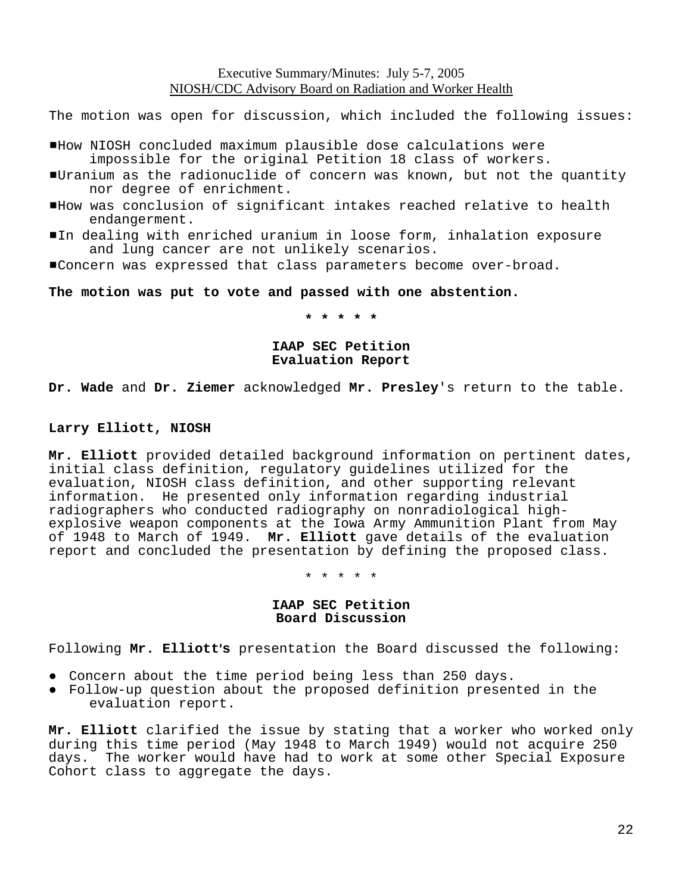The motion was open for discussion, which included the following issues:

- #How NIOSH concluded maximum plausible dose calculations were impossible for the original Petition 18 class of workers.
- #Uranium as the radionuclide of concern was known, but not the quantity nor degree of enrichment.
- #How was conclusion of significant intakes reached relative to health endangerment.
- In dealing with enriched uranium in loose form, inhalation exposure and lung cancer are not unlikely scenarios.
- #Concern was expressed that class parameters become over-broad.

**The motion was put to vote and passed with one abstention.** 

**\* \* \* \* \***

## **IAAP SEC Petition Evaluation Report**

**Dr. Wade** and **Dr. Ziemer** acknowledged **Mr. Presley**'s return to the table.

### **Larry Elliott, NIOSH**

**Mr. Elliott** provided detailed background information on pertinent dates, initial class definition, regulatory guidelines utilized for the evaluation, NIOSH class definition, and other supporting relevant information. He presented only information regarding industrial radiographers who conducted radiography on nonradiological highexplosive weapon components at the Iowa Army Ammunition Plant from May of 1948 to March of 1949. **Mr. Elliott** gave details of the evaluation report and concluded the presentation by defining the proposed class.

\* \* \* \* \*

#### **IAAP SEC Petition Board Discussion**

Following Mr. Elliott's presentation the Board discussed the following:

- Concern about the time period being less than 250 days.
- ● Follow-up question about the proposed definition presented in the evaluation report.

**Mr. Elliott** clarified the issue by stating that a worker who worked only during this time period (May 1948 to March 1949) would not acquire 250 days. The worker would have had to work at some other Special Exposure Cohort class to aggregate the days.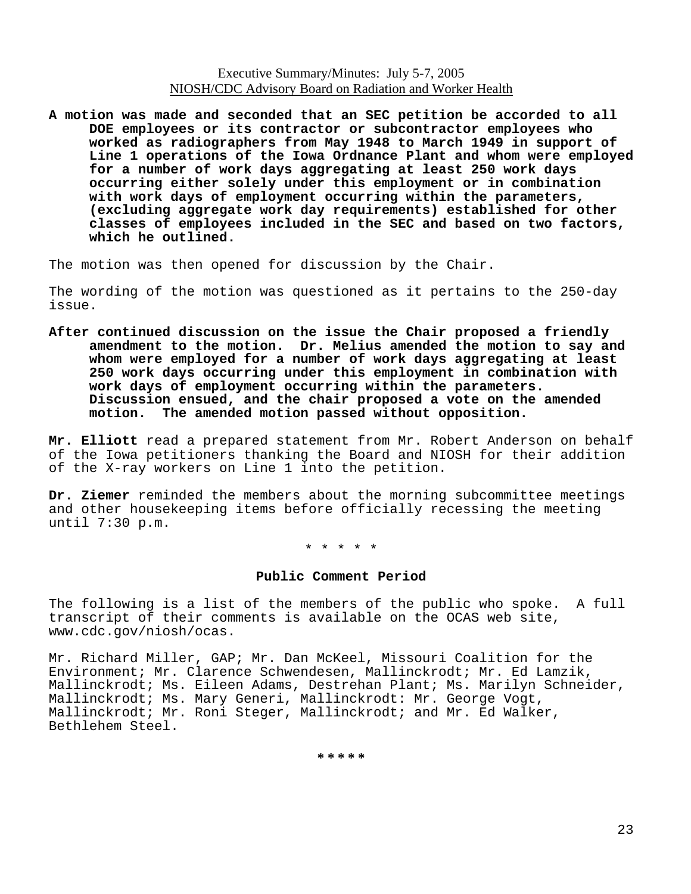**A motion was made and seconded that an SEC petition be accorded to all DOE employees or its contractor or subcontractor employees who worked as radiographers from May 1948 to March 1949 in support of Line 1 operations of the Iowa Ordnance Plant and whom were employed for a number of work days aggregating at least 250 work days occurring either solely under this employment or in combination with work days of employment occurring within the parameters, (excluding aggregate work day requirements) established for other classes of employees included in the SEC and based on two factors, which he outlined.** 

The motion was then opened for discussion by the Chair.

The wording of the motion was questioned as it pertains to the 250-day issue.

**After continued discussion on the issue the Chair proposed a friendly amendment to the motion. Dr. Melius amended the motion to say and whom were employed for a number of work days aggregating at least 250 work days occurring under this employment in combination with work days of employment occurring within the parameters. Discussion ensued, and the chair proposed a vote on the amended**

Mr. Elliott read a prepared statement from Mr. Robert Anderson on behalf of the Iowa petitioners thanking the Board and NIOSH for their addition of the X-ray workers on Line 1 into the petition.

**Dr. Ziemer** reminded the members about the morning subcommittee meetings and other housekeeping items before officially recessing the meeting until 7:30 p.m.

\* \* \* \* \*

#### **Public Comment Period**

The following is a list of the members of the public who spoke. A full transcript of their comments is available on the OCAS web site, www.cdc.gov/niosh/ocas.

Mr. Richard Miller, GAP; Mr. Dan McKeel, Missouri Coalition for the Environment; Mr. Clarence Schwendesen, Mallinckrodt; Mr. Ed Lamzik, Mallinckrodt; Ms. Eileen Adams, Destrehan Plant; Ms. Marilyn Schneider, Mallinckrodt; Ms. Mary Generi, Mallinckrodt: Mr. George Vogt, Mallinckrodt; Mr. Roni Steger, Mallinckrodt; and Mr. Ed Walker, Bethlehem Steel.

**\* \* \* \* \***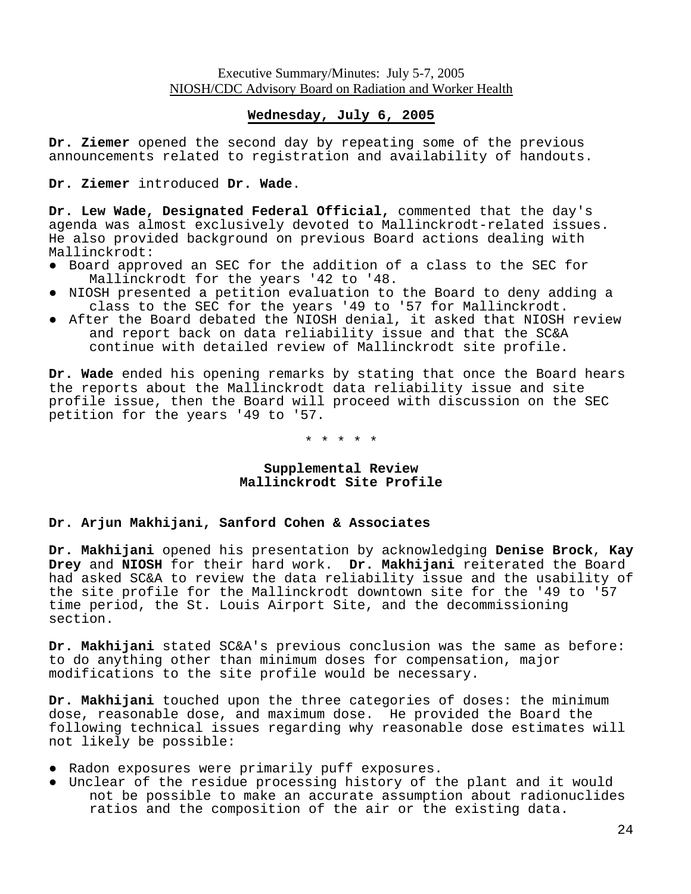## **Wednesday, July 6, 2005**

**Dr. Ziemer** opened the second day by repeating some of the previous announcements related to registration and availability of handouts.

**Dr. Ziemer** introduced **Dr. Wade**.

**Dr. Lew Wade, Designated Federal Official,** commented that the day's agenda was almost exclusively devoted to Mallinckrodt-related issues. He also provided background on previous Board actions dealing with Mallinckrodt:

- ● Board approved an SEC for the addition of a class to the SEC for Mallinckrodt for the years '42 to '48.
- ● NIOSH presented a petition evaluation to the Board to deny adding a class to the SEC for the years '49 to '57 for Mallinckrodt.
- ● After the Board debated the NIOSH denial, it asked that NIOSH review and report back on data reliability issue and that the SC&A continue with detailed review of Mallinckrodt site profile.

**Dr. Wade** ended his opening remarks by stating that once the Board hears the reports about the Mallinckrodt data reliability issue and site profile issue, then the Board will proceed with discussion on the SEC petition for the years '49 to '57.

\* \* \* \* \*

### **Supplemental Review Mallinckrodt Site Profile**

### **Dr. Arjun Makhijani, Sanford Cohen & Associates**

**Dr. Makhijani** opened his presentation by acknowledging **Denise Brock**, **Kay Drey** and **NIOSH** for their hard work. **Dr. Makhijani** reiterated the Board had asked SC&A to review the data reliability issue and the usability of the site profile for the Mallinckrodt downtown site for the '49 to '57 time period, the St. Louis Airport Site, and the decommissioning section.

**Dr. Makhijani** stated SC&A's previous conclusion was the same as before: to do anything other than minimum doses for compensation, major modifications to the site profile would be necessary.

**Dr. Makhijani** touched upon the three categories of doses: the minimum dose, reasonable dose, and maximum dose. He provided the Board the following technical issues regarding why reasonable dose estimates will not likely be possible:

- Radon exposures were primarily puff exposures.
- ● Unclear of the residue processing history of the plant and it would not be possible to make an accurate assumption about radionuclides ratios and the composition of the air or the existing data.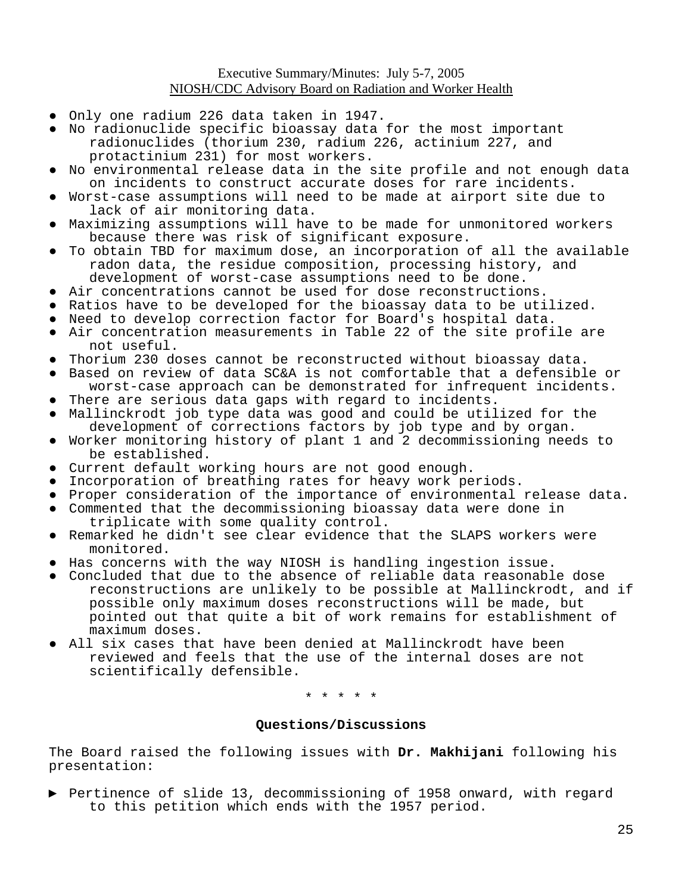- Only one radium 226 data taken in 1947.
- ● No radionuclide specific bioassay data for the most important radionuclides (thorium 230, radium 226, actinium 227, and protactinium 231) for most workers.
- No environmental release data in the site profile and not enough data on incidents to construct accurate doses for rare incidents.
- Worst-case assumptions will need to be made at airport site due to lack of air monitoring data.
- Maximizing assumptions will have to be made for unmonitored workers because there was risk of significant exposure.
- To obtain TBD for maximum dose, an incorporation of all the available radon data, the residue composition, processing history, and development of worst-case assumptions need to be done.
- Air concentrations cannot be used for dose reconstructions.
- Ratios have to be developed for the bioassay data to be utilized.
- Need to develop correction factor for Board's hospital data.
- ● Air concentration measurements in Table 22 of the site profile are not useful.
- Thorium 230 doses cannot be reconstructed without bioassay data.
- ● Based on review of data SC&A is not comfortable that a defensible or worst-case approach can be demonstrated for infrequent incidents.
- There are serious data gaps with regard to incidents.
- Mallinckrodt job type data was good and could be utilized for the development of corrections factors by job type and by organ.
- ● Worker monitoring history of plant 1 and 2 decommissioning needs to be established.
- Current default working hours are not good enough.
- Incorporation of breathing rates for heavy work periods.
- Proper consideration of the importance of environmental release data.
- ● Commented that the decommissioning bioassay data were done in triplicate with some quality control.
- ● Remarked he didn't see clear evidence that the SLAPS workers were monitored.
- Has concerns with the way NIOSH is handling ingestion issue.
- ● Concluded that due to the absence of reliable data reasonable dose reconstructions are unlikely to be possible at Mallinckrodt, and if possible only maximum doses reconstructions will be made, but pointed out that quite a bit of work remains for establishment of maximum doses.
- All six cases that have been denied at Mallinckrodt have been reviewed and feels that the use of the internal doses are not scientifically defensible.

\* \* \* \* \*

#### **Questions/Discussions**

The Board raised the following issues with **Dr. Makhijani** following his presentation:

▶ Pertinence of slide 13, decommissioning of 1958 onward, with regard to this petition which ends with the 1957 period.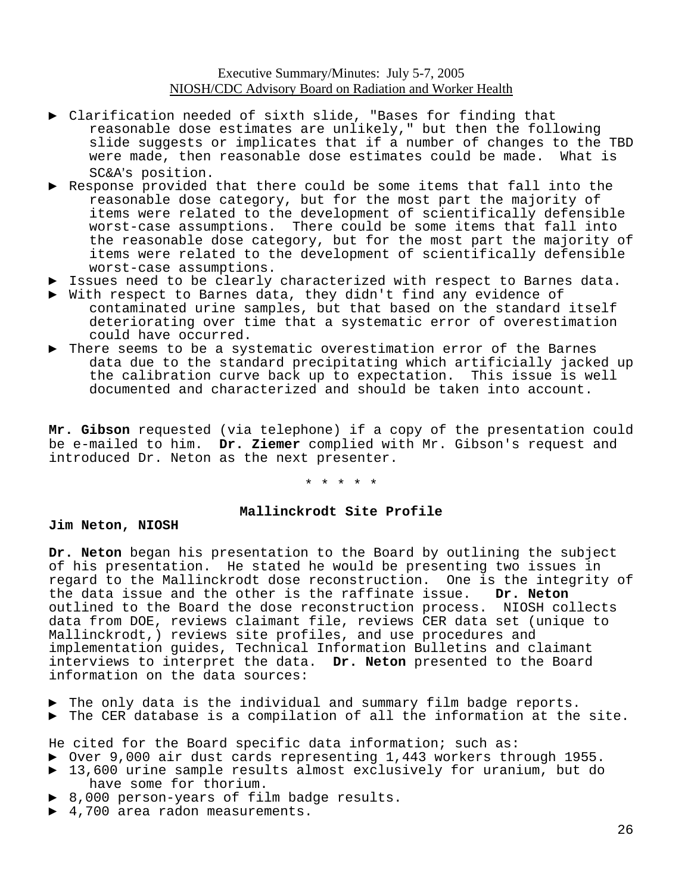- ► Clarification needed of sixth slide, "Bases for finding that reasonable dose estimates are unlikely," but then the following slide suggests or implicates that if a number of changes to the TBD were made, then reasonable dose estimates could be made. What is SC&A's position.
- Response provided that there could be some items that fall into the reasonable dose category, but for the most part the majority of items were related to the development of scientifically defensible worst-case assumptions. There could be some items that fall into the reasonable dose category, but for the most part the majority of items were related to the development of scientifically defensible worst-case assumptions.
- ► Issues need to be clearly characterized with respect to Barnes data.
- ► With respect to Barnes data, they didn't find any evidence of contaminated urine samples, but that based on the standard itself deteriorating over time that a systematic error of overestimation could have occurred.
- There seems to be a systematic overestimation error of the Barnes data due to the standard precipitating which artificially jacked up<br>the calibration curve back up to expectation. This issue is well the calibration curve back up to expectation. documented and characterized and should be taken into account.

**Mr. Gibson** requested (via telephone) if a copy of the presentation could be e-mailed to him. **Dr. Ziemer** complied with Mr. Gibson's request and introduced Dr. Neton as the next presenter.

\* \* \* \* \*

#### **Mallinckrodt Site Profile**

#### **Jim Neton, NIOSH**

**Dr. Neton** began his presentation to the Board by outlining the subject of his presentation. He stated he would be presenting two issues in regard to the Mallinckrodt dose reconstruction. One is the integrity of the data issue and the other is the raffinate issue. **Dr. Neton**  outlined to the Board the dose reconstruction process. NIOSH collects data from DOE, reviews claimant file, reviews CER data set (unique to Mallinckrodt,) reviews site profiles, and use procedures and implementation guides, Technical Information Bulletins and claimant interviews to interpret the data. **Dr. Neton** presented to the Board information on the data sources:

- ► The only data is the individual and summary film badge reports.
- ► The CER database is a compilation of all the information at the site.

He cited for the Board specific data information; such as:

- ► Over 9,000 air dust cards representing 1,443 workers through 1955. ► 13,600 urine sample results almost exclusively for uranium, but do
	- have some for thorium.
	- ► 8,000 person-years of film badge results.
	- ► 4,700 area radon measurements.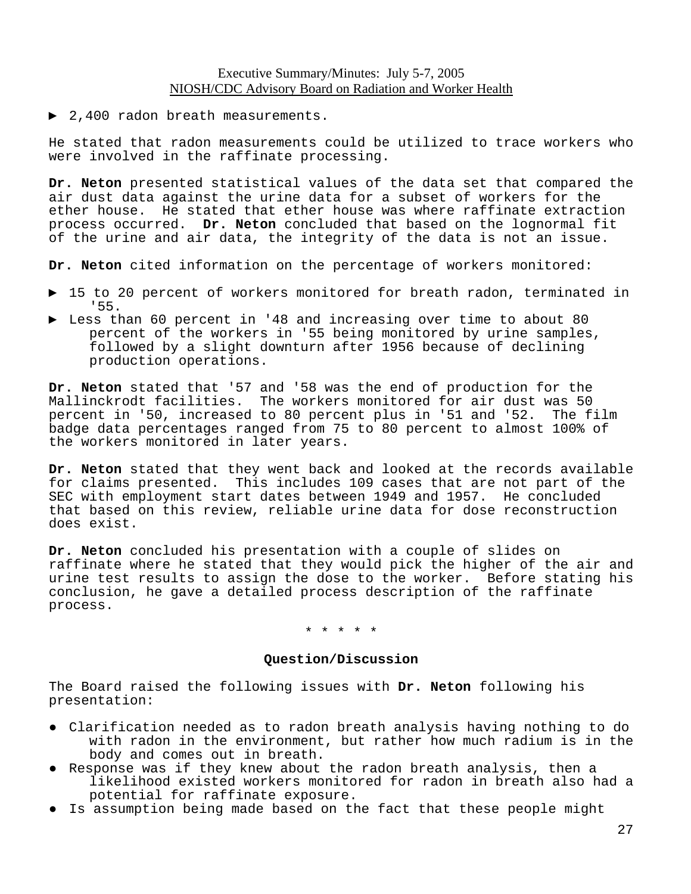► 2,400 radon breath measurements.

He stated that radon measurements could be utilized to trace workers who were involved in the raffinate processing.

**Dr. Neton** presented statistical values of the data set that compared the air dust data against the urine data for a subset of workers for the ether house. He stated that ether house was where raffinate extraction process occurred. **Dr. Neton** concluded that based on the lognormal fit of the urine and air data, the integrity of the data is not an issue.

**Dr. Neton** cited information on the percentage of workers monitored:

- ► 15 to 20 percent of workers monitored for breath radon, terminated in '55.
- ► Less than 60 percent in '48 and increasing over time to about 80 percent of the workers in '55 being monitored by urine samples, followed by a slight downturn after 1956 because of declining production operations.

**Dr. Neton** stated that '57 and '58 was the end of production for the Mallinckrodt facilities. The workers monitored for air dust was 50<br>percent in '50, increased to 80 percent plus in '51 and '52. The film percent in '50, increased to 80 percent plus in '51 and '52. badge data percentages ranged from 75 to 80 percent to almost 100% of the workers monitored in later years.

**Dr. Neton** stated that they went back and looked at the records available for claims presented. This includes 109 cases that are not part of the SEC with employment start dates between 1949 and 1957. He concluded that based on this review, reliable urine data for dose reconstruction does exist.

**Dr. Neton** concluded his presentation with a couple of slides on raffinate where he stated that they would pick the higher of the air and urine test results to assign the dose to the worker. Before stating his conclusion, he gave a detailed process description of the raffinate process.

\* \* \* \* \*

#### **Question/Discussion**

The Board raised the following issues with **Dr. Neton** following his presentation:

- ● Clarification needed as to radon breath analysis having nothing to do with radon in the environment, but rather how much radium is in the body and comes out in breath.
- ● Response was if they knew about the radon breath analysis, then a likelihood existed workers monitored for radon in breath also had a potential for raffinate exposure.
- Is assumption being made based on the fact that these people might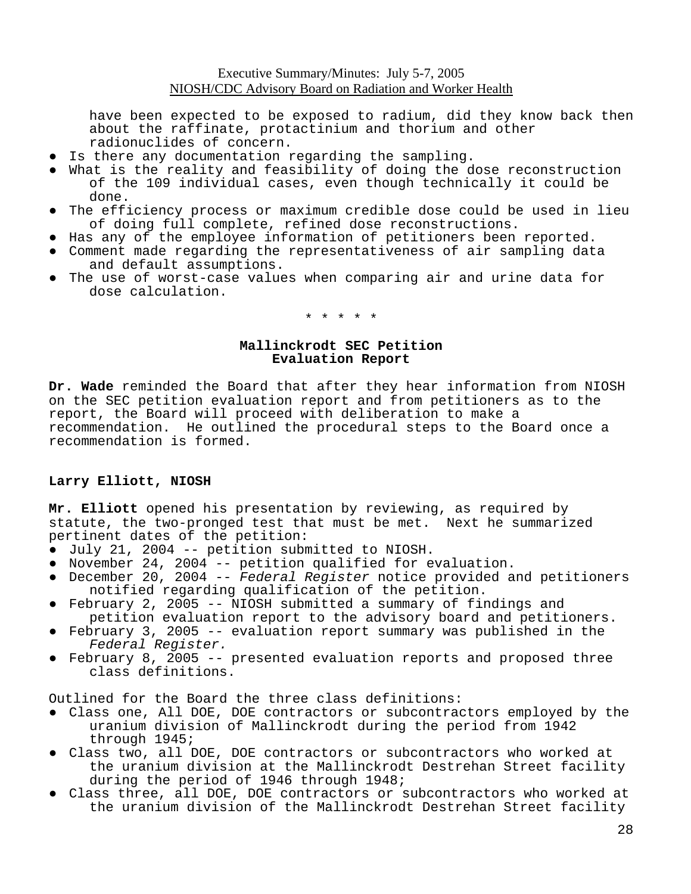have been expected to be exposed to radium, did they know back then about the raffinate, protactinium and thorium and other radionuclides of concern.

- Is there any documentation regarding the sampling.
- What is the reality and feasibility of doing the dose reconstruction of the 109 individual cases, even though technically it could be done.
- The efficiency process or maximum credible dose could be used in lieu of doing full complete, refined dose reconstructions.
- Has any of the employee information of petitioners been reported.
- Comment made regarding the representativeness of air sampling data and default assumptions.
- The use of worst-case values when comparing air and urine data for dose calculation.

\* \* \* \* \*

## **Mallinckrodt SEC Petition Evaluation Report**

**Dr. Wade** reminded the Board that after they hear information from NIOSH on the SEC petition evaluation report and from petitioners as to the report, the Board will proceed with deliberation to make a recommendation. He outlined the procedural steps to the Board once a recommendation is formed.

## **Larry Elliott, NIOSH**

**Mr. Elliott** opened his presentation by reviewing, as required by statute, the two-pronged test that must be met. Next he summarized pertinent dates of the petition:

- July 21, 2004 -- petition submitted to NIOSH.
- November 24, 2004 -- petition qualified for evaluation.
- ● December 20, 2004 -- *Federal Register* notice provided and petitioners notified regarding qualification of the petition.
- ● February 2, 2005 -- NIOSH submitted a summary of findings and petition evaluation report to the advisory board and petitioners.
- *Federal Register.* February 3, 2005 -- evaluation report summary was published in the
- February 8, 2005 -- presented evaluation reports and proposed three class definitions.

Outlined for the Board the three class definitions:

- ● Class one, All DOE, DOE contractors or subcontractors employed by the uranium division of Mallinckrodt during the period from 1942 through 1945;
- Class two, all DOE, DOE contractors or subcontractors who worked at the uranium division at the Mallinckrodt Destrehan Street facility during the period of 1946 through 1948;
- ● Class three, all DOE, DOE contractors or subcontractors who worked at the uranium division of the Mallinckrodt Destrehan Street facility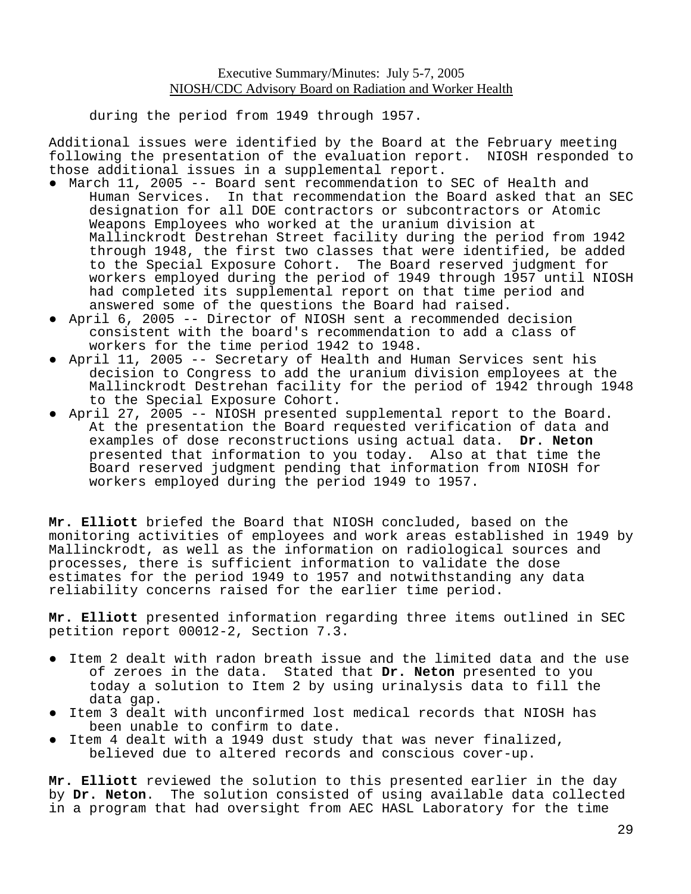during the period from 1949 through 1957.

Additional issues were identified by the Board at the February meeting following the presentation of the evaluation report. NIOSH responded to those additional issues in a supplemental report.

- ● March 11, 2005 -- Board sent recommendation to SEC of Health and Human Services. In that recommendation the Board asked that an SEC designation for all DOE contractors or subcontractors or Atomic Weapons Employees who worked at the uranium division at Mallinckrodt Destrehan Street facility during the period from 1942 through 1948, the first two classes that were identified, be added to the Special Exposure Cohort. The Board reserved judgment for workers employed during the period of 1949 through 1957 until NIOSH had completed its supplemental report on that time period and answered some of the questions the Board had raised.
- April 6, 2005 -- Director of NIOSH sent a recommended decision consistent with the board's recommendation to add a class of workers for the time period 1942 to 1948.
- April 11, 2005 -- Secretary of Health and Human Services sent his decision to Congress to add the uranium division employees at the Mallinckrodt Destrehan facility for the period of 1942 through 1948 to the Special Exposure Cohort.
- April 27, 2005 -- NIOSH presented supplemental report to the Board. At the presentation the Board requested verification of data and examples of dose reconstructions using actual data. **Dr. Neton**  presented that information to you today. Also at that time the Board reserved judgment pending that information from NIOSH for workers employed during the period 1949 to 1957.

**Mr. Elliott** briefed the Board that NIOSH concluded, based on the monitoring activities of employees and work areas established in 1949 by Mallinckrodt, as well as the information on radiological sources and processes, there is sufficient information to validate the dose estimates for the period 1949 to 1957 and notwithstanding any data reliability concerns raised for the earlier time period.

**Mr. Elliott** presented information regarding three items outlined in SEC petition report 00012-2, Section 7.3.

- Item 2 dealt with radon breath issue and the limited data and the use of zeroes in the data. Stated that **Dr. Neton** presented to you today a solution to Item 2 by using urinalysis data to fill the data gap.
- Item 3 dealt with unconfirmed lost medical records that NIOSH has been unable to confirm to date.
- ● Item 4 dealt with a 1949 dust study that was never finalized, believed due to altered records and conscious cover-up.

**Mr. Elliott** reviewed the solution to this presented earlier in the day by **Dr. Neton**. The solution consisted of using available data collected in a program that had oversight from AEC HASL Laboratory for the time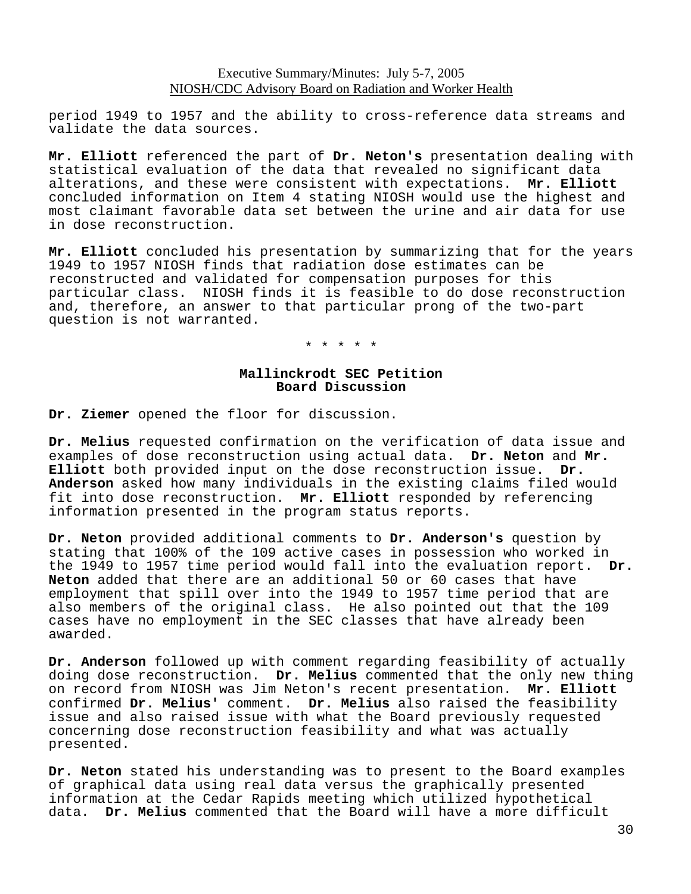period 1949 to 1957 and the ability to cross-reference data streams and validate the data sources.

**Mr. Elliott** referenced the part of **Dr. Neton's** presentation dealing with statistical evaluation of the data that revealed no significant data alterations, and these were consistent with expectations. **Mr. Elliott**  concluded information on Item 4 stating NIOSH would use the highest and most claimant favorable data set between the urine and air data for use in dose reconstruction.

**Mr. Elliott** concluded his presentation by summarizing that for the years 1949 to 1957 NIOSH finds that radiation dose estimates can be reconstructed and validated for compensation purposes for this particular class. NIOSH finds it is feasible to do dose reconstruction and, therefore, an answer to that particular prong of the two-part question is not warranted.

\* \* \* \* \*

### **Mallinckrodt SEC Petition Board Discussion**

**Dr. Ziemer** opened the floor for discussion.

**Dr. Melius** requested confirmation on the verification of data issue and examples of dose reconstruction using actual data. **Dr. Neton** and **Mr. Elliott** both provided input on the dose reconstruction issue. **Dr. Anderson** asked how many individuals in the existing claims filed would fit into dose reconstruction. **Mr. Elliott** responded by referencing information presented in the program status reports.

**Dr. Neton** provided additional comments to **Dr. Anderson's** question by stating that 100% of the 109 active cases in possession who worked in the 1949 to 1957 time period would fall into the evaluation report. **Dr. Neton** added that there are an additional 50 or 60 cases that have employment that spill over into the 1949 to 1957 time period that are also members of the original class. He also pointed out that the 109 cases have no employment in the SEC classes that have already been awarded.

**Dr. Anderson** followed up with comment regarding feasibility of actually doing dose reconstruction. **Dr. Melius** commented that the only new thing on record from NIOSH was Jim Neton's recent presentation. **Mr. Elliott**  confirmed **Dr. Melius'** comment. **Dr. Melius** also raised the feasibility issue and also raised issue with what the Board previously requested concerning dose reconstruction feasibility and what was actually presented.

**Dr. Neton** stated his understanding was to present to the Board examples of graphical data using real data versus the graphically presented information at the Cedar Rapids meeting which utilized hypothetical data. **Dr. Melius** commented that the Board will have a more difficult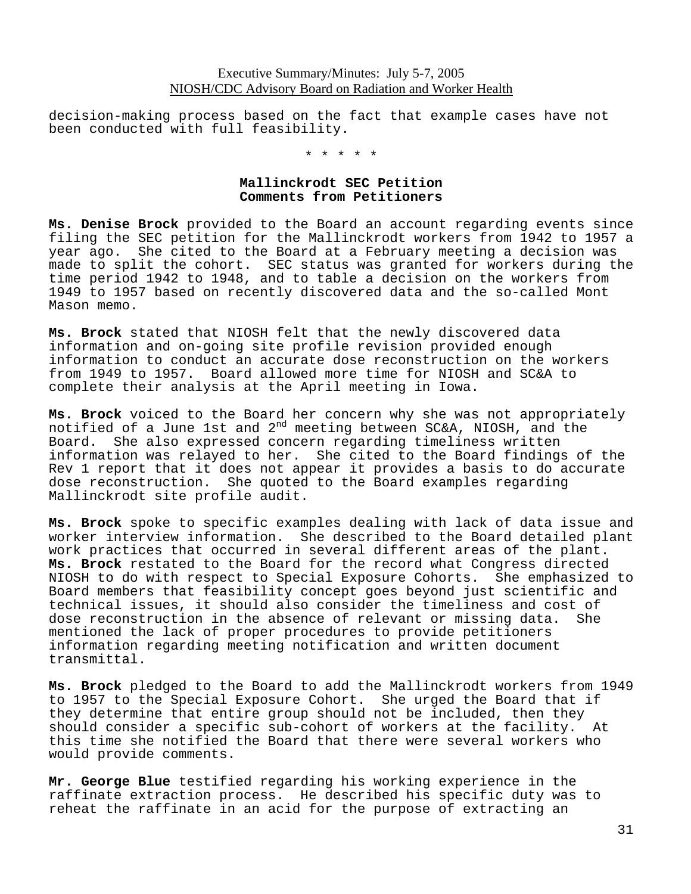decision-making process based on the fact that example cases have not been conducted with full feasibility.

\* \* \* \* \*

#### **Mallinckrodt SEC Petition Comments from Petitioners**

**Ms. Denise Brock** provided to the Board an account regarding events since filing the SEC petition for the Mallinckrodt workers from 1942 to 1957 a year ago. She cited to the Board at a February meeting a decision was made to split the cohort. SEC status was granted for workers during the time period 1942 to 1948, and to table a decision on the workers from 1949 to 1957 based on recently discovered data and the so-called Mont Mason memo.

**Ms. Brock** stated that NIOSH felt that the newly discovered data information and on-going site profile revision provided enough information to conduct an accurate dose reconstruction on the workers from 1949 to 1957. Board allowed more time for NIOSH and SC&A to complete their analysis at the April meeting in Iowa.

**Ms. Brock** voiced to the Board her concern why she was not appropriately notified of a June 1st and 2nd meeting between SC&A, NIOSH, and the Board. She also expressed concern regarding timeliness written information was relayed to her. She cited to the Board findings of the Rev 1 report that it does not appear it provides a basis to do accurate dose reconstruction. She quoted to the Board examples regarding Mallinckrodt site profile audit.

**Ms. Brock** spoke to specific examples dealing with lack of data issue and worker interview information. She described to the Board detailed plant work practices that occurred in several different areas of the plant. **Ms. Brock** restated to the Board for the record what Congress directed NIOSH to do with respect to Special Exposure Cohorts. She emphasized to Board members that feasibility concept goes beyond just scientific and technical issues, it should also consider the timeliness and cost of dose reconstruction in the absence of relevant or missing data. She mentioned the lack of proper procedures to provide petitioners information regarding meeting notification and written document transmittal.

**Ms. Brock** pledged to the Board to add the Mallinckrodt workers from 1949 to 1957 to the Special Exposure Cohort. She urged the Board that if they determine that entire group should not be included, then they should consider a specific sub-cohort of workers at the facility. At this time she notified the Board that there were several workers who would provide comments.

**Mr. George Blue** testified regarding his working experience in the raffinate extraction process. He described his specific duty was to reheat the raffinate in an acid for the purpose of extracting an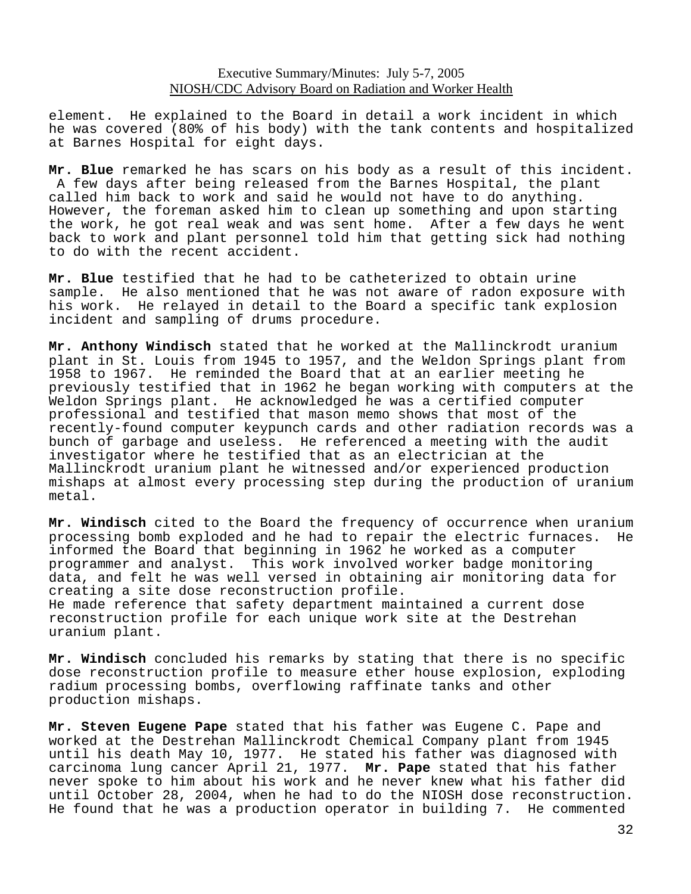element. He explained to the Board in detail a work incident in which he was covered (80% of his body) with the tank contents and hospitalized at Barnes Hospital for eight days.

**Mr. Blue** remarked he has scars on his body as a result of this incident. A few days after being released from the Barnes Hospital, the plant called him back to work and said he would not have to do anything. However, the foreman asked him to clean up something and upon starting the work, he got real weak and was sent home. After a few days he went back to work and plant personnel told him that getting sick had nothing to do with the recent accident.

**Mr. Blue** testified that he had to be catheterized to obtain urine sample. He also mentioned that he was not aware of radon exposure with his work. He relayed in detail to the Board a specific tank explosion incident and sampling of drums procedure.

**Mr. Anthony Windisch** stated that he worked at the Mallinckrodt uranium plant in St. Louis from 1945 to 1957, and the Weldon Springs plant from 1958 to 1967. He reminded the Board that at an earlier meeting he previously testified that in 1962 he began working with computers at the Weldon Springs plant. He acknowledged he was a certified computer professional and testified that mason memo shows that most of the recently-found computer keypunch cards and other radiation records was a bunch of garbage and useless. He referenced a meeting with the audit investigator where he testified that as an electrician at the Mallinckrodt uranium plant he witnessed and/or experienced production mishaps at almost every processing step during the production of uranium metal.

**Mr. Windisch** cited to the Board the frequency of occurrence when uranium processing bomb exploded and he had to repair the electric furnaces. He informed the Board that beginning in 1962 he worked as a computer programmer and analyst. This work involved worker badge monitoring data, and felt he was well versed in obtaining air monitoring data for creating a site dose reconstruction profile. He made reference that safety department maintained a current dose reconstruction profile for each unique work site at the Destrehan uranium plant.

**Mr. Windisch** concluded his remarks by stating that there is no specific dose reconstruction profile to measure ether house explosion, exploding radium processing bombs, overflowing raffinate tanks and other production mishaps.

**Mr. Steven Eugene Pape** stated that his father was Eugene C. Pape and worked at the Destrehan Mallinckrodt Chemical Company plant from 1945 until his death May 10, 1977. He stated his father was diagnosed with carcinoma lung cancer April 21, 1977. **Mr. Pape** stated that his father never spoke to him about his work and he never knew what his father did until October 28, 2004, when he had to do the NIOSH dose reconstruction. He found that he was a production operator in building 7. He commented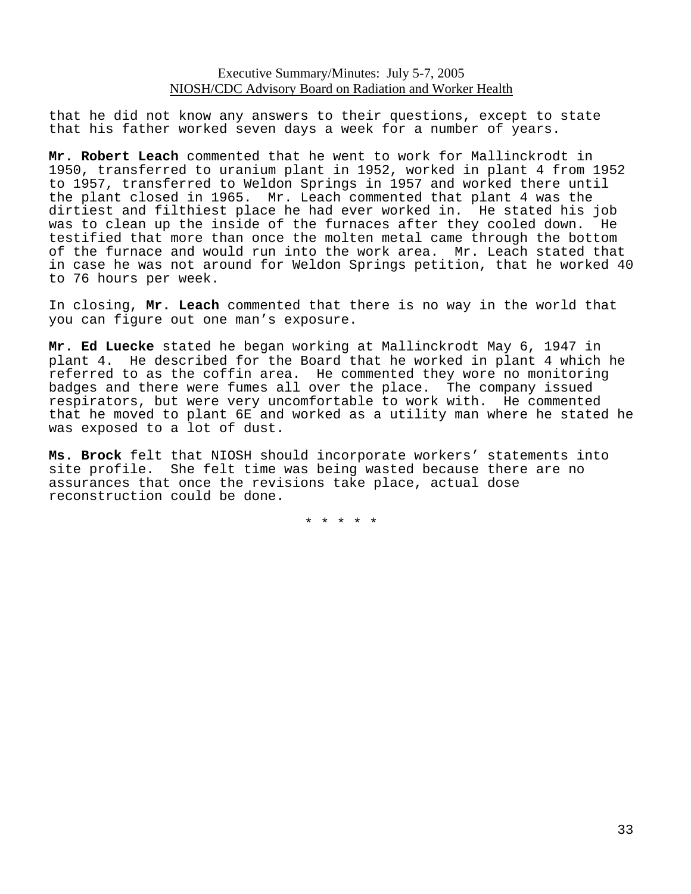that he did not know any answers to their questions, except to state that his father worked seven days a week for a number of years.

**Mr. Robert Leach** commented that he went to work for Mallinckrodt in 1950, transferred to uranium plant in 1952, worked in plant 4 from 1952 to 1957, transferred to Weldon Springs in 1957 and worked there until the plant closed in 1965. Mr. Leach commented that plant 4 was the dirtiest and filthiest place he had ever worked in. He stated his job was to clean up the inside of the furnaces after they cooled down. He testified that more than once the molten metal came through the bottom of the furnace and would run into the work area. Mr. Leach stated that in case he was not around for Weldon Springs petition, that he worked 40 to 76 hours per week.

In closing, **Mr. Leach** commented that there is no way in the world that you can figure out one man's exposure.

**Mr. Ed Luecke** stated he began working at Mallinckrodt May 6, 1947 in plant 4. He described for the Board that he worked in plant 4 which he referred to as the coffin area. He commented they wore no monitoring badges and there were fumes all over the place. The company issued respirators, but were very uncomfortable to work with. He commented that he moved to plant 6E and worked as a utility man where he stated he was exposed to a lot of dust.

**Ms. Brock** felt that NIOSH should incorporate workers' statements into site profile. She felt time was being wasted because there are no assurances that once the revisions take place, actual dose reconstruction could be done.

\* \* \* \* \*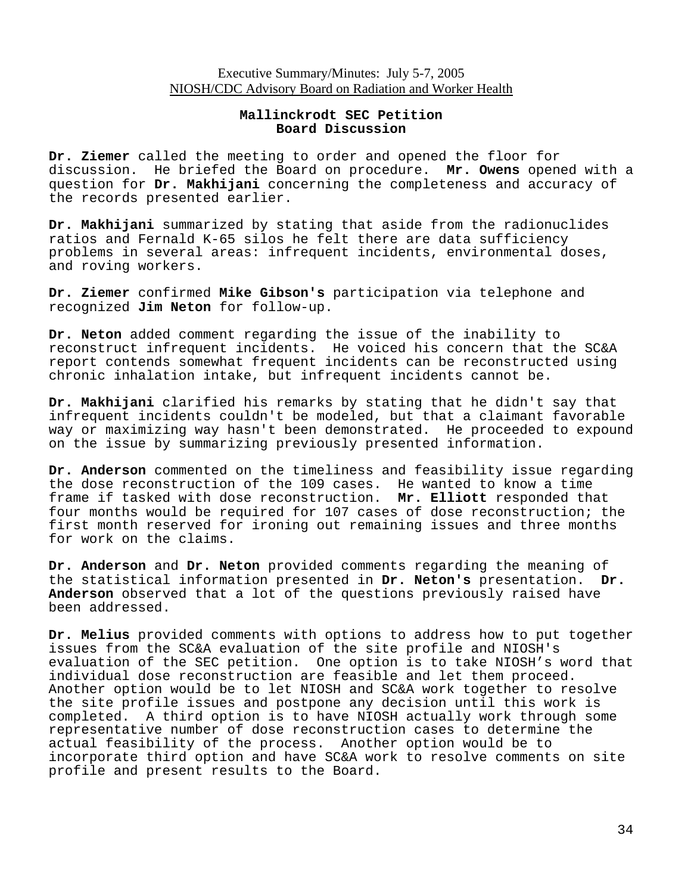### **Mallinckrodt SEC Petition Board Discussion**

**Dr. Ziemer** called the meeting to order and opened the floor for discussion. He briefed the Board on procedure. **Mr. Owens** opened with a question for **Dr. Makhijani** concerning the completeness and accuracy of the records presented earlier.

**Dr. Makhijani** summarized by stating that aside from the radionuclides ratios and Fernald K-65 silos he felt there are data sufficiency problems in several areas: infrequent incidents, environmental doses, and roving workers.

**Dr. Ziemer** confirmed **Mike Gibson's** participation via telephone and recognized **Jim Neton** for follow-up.

**Dr. Neton** added comment regarding the issue of the inability to reconstruct infrequent incidents. He voiced his concern that the SC&A report contends somewhat frequent incidents can be reconstructed using chronic inhalation intake, but infrequent incidents cannot be.

**Dr. Makhijani** clarified his remarks by stating that he didn't say that infrequent incidents couldn't be modeled, but that a claimant favorable way or maximizing way hasn't been demonstrated. He proceeded to expound on the issue by summarizing previously presented information.

**Dr. Anderson** commented on the timeliness and feasibility issue regarding the dose reconstruction of the 109 cases. He wanted to know a time frame if tasked with dose reconstruction. **Mr. Elliott** responded that four months would be required for 107 cases of dose reconstruction; the first month reserved for ironing out remaining issues and three months for work on the claims.

**Dr. Anderson** and **Dr. Neton** provided comments regarding the meaning of the statistical information presented in **Dr. Neton's** presentation. **Dr. Anderson** observed that a lot of the questions previously raised have been addressed.

**Dr. Melius** provided comments with options to address how to put together issues from the SC&A evaluation of the site profile and NIOSH's evaluation of the SEC petition. One option is to take NIOSH's word that individual dose reconstruction are feasible and let them proceed. Another option would be to let NIOSH and SC&A work together to resolve the site profile issues and postpone any decision until this work is completed. A third option is to have NIOSH actually work through some representative number of dose reconstruction cases to determine the actual feasibility of the process. Another option would be to incorporate third option and have SC&A work to resolve comments on site profile and present results to the Board.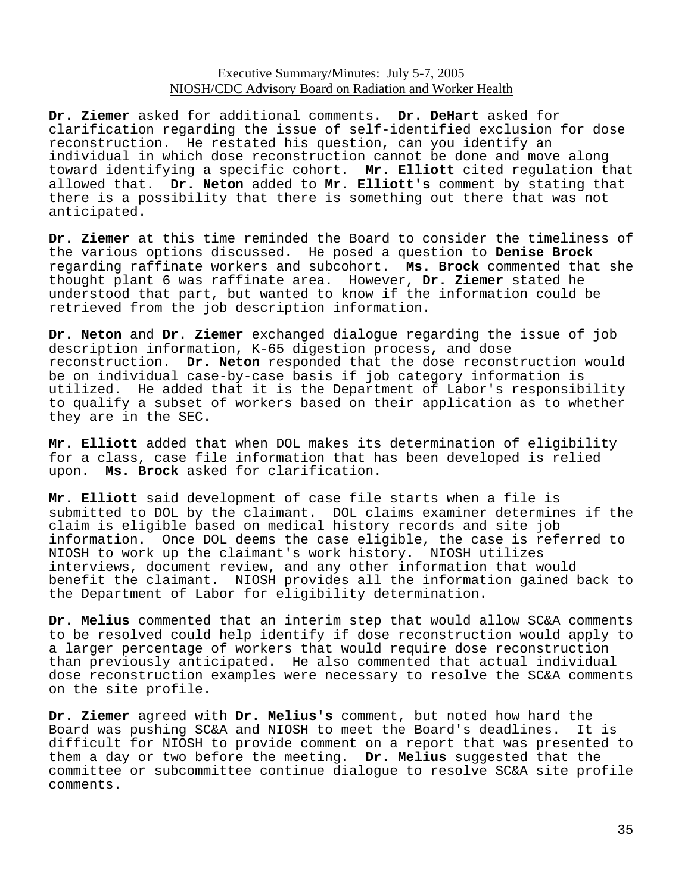**Dr. Ziemer** asked for additional comments. **Dr. DeHart** asked for clarification regarding the issue of self-identified exclusion for dose reconstruction. He restated his question, can you identify an individual in which dose reconstruction cannot be done and move along toward identifying a specific cohort. **Mr. Elliott** cited regulation that allowed that. **Dr. Neton** added to **Mr. Elliott's** comment by stating that there is a possibility that there is something out there that was not anticipated.

**Dr. Ziemer** at this time reminded the Board to consider the timeliness of the various options discussed. He posed a question to **Denise Brock**  regarding raffinate workers and subcohort. **Ms. Brock** commented that she thought plant 6 was raffinate area. However, **Dr. Ziemer** stated he understood that part, but wanted to know if the information could be retrieved from the job description information.

**Dr. Neton** and **Dr. Ziemer** exchanged dialogue regarding the issue of job description information, K-65 digestion process, and dose reconstruction. **Dr. Neton** responded that the dose reconstruction would be on individual case-by-case basis if job category information is utilized. He added that it is the Department of Labor's responsibility to qualify a subset of workers based on their application as to whether they are in the SEC.

**Mr. Elliott** added that when DOL makes its determination of eligibility for a class, case file information that has been developed is relied upon. **Ms. Brock** asked for clarification.

**Mr. Elliott** said development of case file starts when a file is submitted to DOL by the claimant. DOL claims examiner determines if the claim is eligible based on medical history records and site job information. Once DOL deems the case eligible, the case is referred to NIOSH to work up the claimant's work history. NIOSH utilizes interviews, document review, and any other information that would benefit the claimant. NIOSH provides all the information gained back to the Department of Labor for eligibility determination.

**Dr. Melius** commented that an interim step that would allow SC&A comments to be resolved could help identify if dose reconstruction would apply to a larger percentage of workers that would require dose reconstruction than previously anticipated. He also commented that actual individual dose reconstruction examples were necessary to resolve the SC&A comments on the site profile.

**Dr. Ziemer** agreed with **Dr. Melius's** comment, but noted how hard the Board was pushing SC&A and NIOSH to meet the Board's deadlines. It is difficult for NIOSH to provide comment on a report that was presented to them a day or two before the meeting. **Dr. Melius** suggested that the committee or subcommittee continue dialogue to resolve SC&A site profile comments.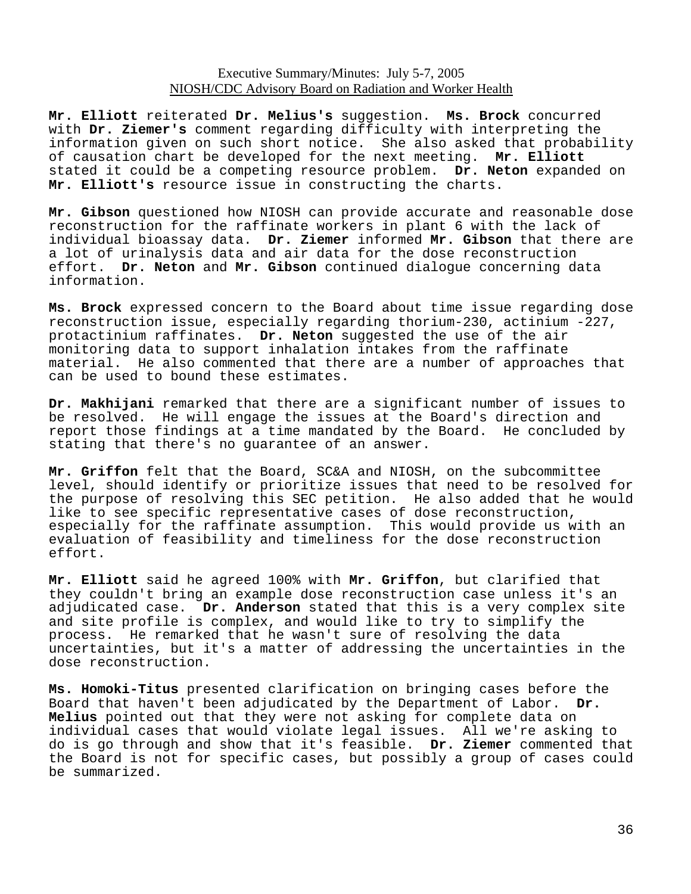**Mr. Elliott** reiterated **Dr. Melius's** suggestion. **Ms. Brock** concurred with **Dr. Ziemer's** comment regarding difficulty with interpreting the information given on such short notice. She also asked that probability of causation chart be developed for the next meeting. **Mr. Elliott**  stated it could be a competing resource problem. **Dr. Neton** expanded on **Mr. Elliott's** resource issue in constructing the charts.

**Mr. Gibson** questioned how NIOSH can provide accurate and reasonable dose reconstruction for the raffinate workers in plant 6 with the lack of individual bioassay data. **Dr. Ziemer** informed **Mr. Gibson** that there are a lot of urinalysis data and air data for the dose reconstruction effort. **Dr. Neton** and **Mr. Gibson** continued dialogue concerning data information.

**Ms. Brock** expressed concern to the Board about time issue regarding dose reconstruction issue, especially regarding thorium-230, actinium -227, protactinium raffinates. **Dr. Neton** suggested the use of the air monitoring data to support inhalation intakes from the raffinate material. He also commented that there are a number of approaches that can be used to bound these estimates.

**Dr. Makhijani** remarked that there are a significant number of issues to be resolved. He will engage the issues at the Board's direction and report those findings at a time mandated by the Board. He concluded by stating that there's no guarantee of an answer.

**Mr. Griffon** felt that the Board, SC&A and NIOSH, on the subcommittee level, should identify or prioritize issues that need to be resolved for the purpose of resolving this SEC petition. He also added that he would like to see specific representative cases of dose reconstruction, especially for the raffinate assumption. This would provide us with an evaluation of feasibility and timeliness for the dose reconstruction effort.

**Mr. Elliott** said he agreed 100% with **Mr. Griffon**, but clarified that they couldn't bring an example dose reconstruction case unless it's an adjudicated case. **Dr. Anderson** stated that this is a very complex site and site profile is complex, and would like to try to simplify the process. He remarked that he wasn't sure of resolving the data uncertainties, but it's a matter of addressing the uncertainties in the dose reconstruction.

**Ms. Homoki-Titus** presented clarification on bringing cases before the Board that haven't been adjudicated by the Department of Labor. **Dr. Melius** pointed out that they were not asking for complete data on individual cases that would violate legal issues. All we're asking to do is go through and show that it's feasible. **Dr. Ziemer** commented that the Board is not for specific cases, but possibly a group of cases could be summarized.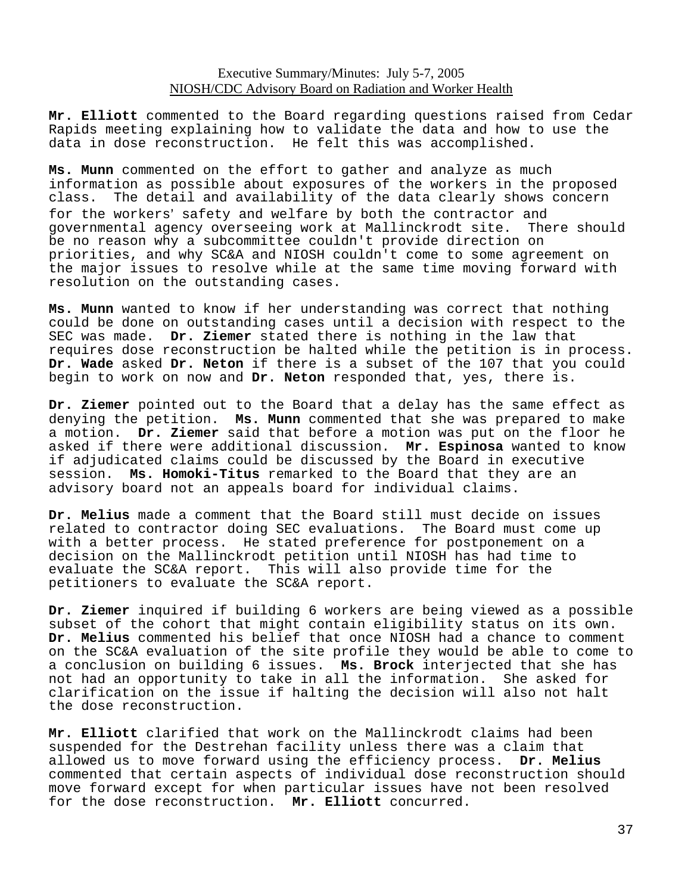**Mr. Elliott** commented to the Board regarding questions raised from Cedar Rapids meeting explaining how to validate the data and how to use the data in dose reconstruction. He felt this was accomplished.

**Ms. Munn** commented on the effort to gather and analyze as much information as possible about exposures of the workers in the proposed<br>class. The detail and availability of the data clearly shows concern The detail and availability of the data clearly shows concern for the workers' safety and welfare by both the contractor and governmental agency overseeing work at Mallinckrodt site. There should be no reason why a subcommittee couldn't provide direction on priorities, and why SC&A and NIOSH couldn't come to some agreement on the major issues to resolve while at the same time moving forward with resolution on the outstanding cases.

**Ms. Munn** wanted to know if her understanding was correct that nothing could be done on outstanding cases until a decision with respect to the SEC was made. **Dr. Ziemer** stated there is nothing in the law that requires dose reconstruction be halted while the petition is in process. **Dr. Wade** asked **Dr. Neton** if there is a subset of the 107 that you could begin to work on now and **Dr. Neton** responded that, yes, there is.

**Dr. Ziemer** pointed out to the Board that a delay has the same effect as denying the petition. **Ms. Munn** commented that she was prepared to make a motion. **Dr. Ziemer** said that before a motion was put on the floor he asked if there were additional discussion. **Mr. Espinosa** wanted to know if adjudicated claims could be discussed by the Board in executive session. **Ms. Homoki-Titus** remarked to the Board that they are an advisory board not an appeals board for individual claims.

**Dr. Melius** made a comment that the Board still must decide on issues related to contractor doing SEC evaluations. The Board must come up with a better process. He stated preference for postponement on a decision on the Mallinckrodt petition until NIOSH has had time to evaluate the SC&A report. This will also provide time for the petitioners to evaluate the SC&A report.

**Dr. Ziemer** inquired if building 6 workers are being viewed as a possible subset of the cohort that might contain eligibility status on its own. **Dr. Melius** commented his belief that once NIOSH had a chance to comment on the SC&A evaluation of the site profile they would be able to come to a conclusion on building 6 issues. **Ms. Brock** interjected that she has not had an opportunity to take in all the information. She asked for clarification on the issue if halting the decision will also not halt the dose reconstruction.

**Mr. Elliott** clarified that work on the Mallinckrodt claims had been suspended for the Destrehan facility unless there was a claim that allowed us to move forward using the efficiency process. **Dr. Melius**  commented that certain aspects of individual dose reconstruction should move forward except for when particular issues have not been resolved for the dose reconstruction. **Mr. Elliott** concurred.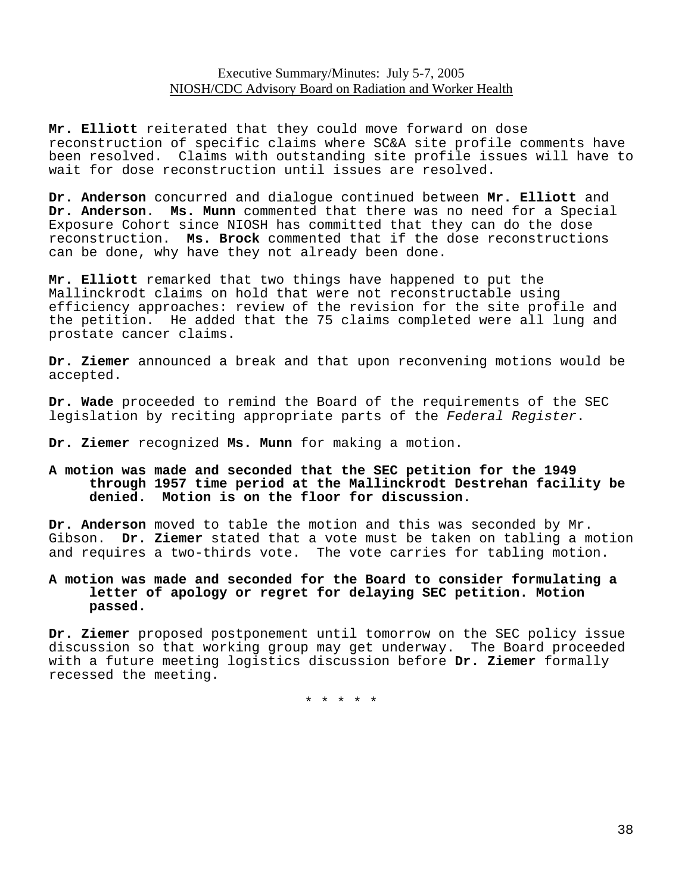**Mr. Elliott** reiterated that they could move forward on dose reconstruction of specific claims where SC&A site profile comments have been resolved. Claims with outstanding site profile issues will have to wait for dose reconstruction until issues are resolved.

**Dr. Anderson** concurred and dialogue continued between **Mr. Elliott** and **Dr. Anderson**. **Ms. Munn** commented that there was no need for a Special Exposure Cohort since NIOSH has committed that they can do the dose reconstruction. **Ms. Brock** commented that if the dose reconstructions can be done, why have they not already been done.

**Mr. Elliott** remarked that two things have happened to put the Mallinckrodt claims on hold that were not reconstructable using efficiency approaches: review of the revision for the site profile and the petition. He added that the 75 claims completed were all lung and prostate cancer claims.

**Dr. Ziemer** announced a break and that upon reconvening motions would be accepted.

**Dr. Wade** proceeded to remind the Board of the requirements of the SEC legislation by reciting appropriate parts of the *Federal Register*.

**Dr. Ziemer** recognized **Ms. Munn** for making a motion.

#### **A motion was made and seconded that the SEC petition for the 1949 through 1957 time period at the Mallinckrodt Destrehan facility be denied. Motion is on the floor for discussion.**

**Dr. Anderson** moved to table the motion and this was seconded by Mr. Gibson. **Dr. Ziemer** stated that a vote must be taken on tabling a motion and requires a two-thirds vote. The vote carries for tabling motion.

## **A motion was made and seconded for the Board to consider formulating a letter of apology or regret for delaying SEC petition. Motion passed.**

**Dr. Ziemer** proposed postponement until tomorrow on the SEC policy issue discussion so that working group may get underway. The Board proceeded with a future meeting logistics discussion before **Dr. Ziemer** formally recessed the meeting.

\* \* \* \* \*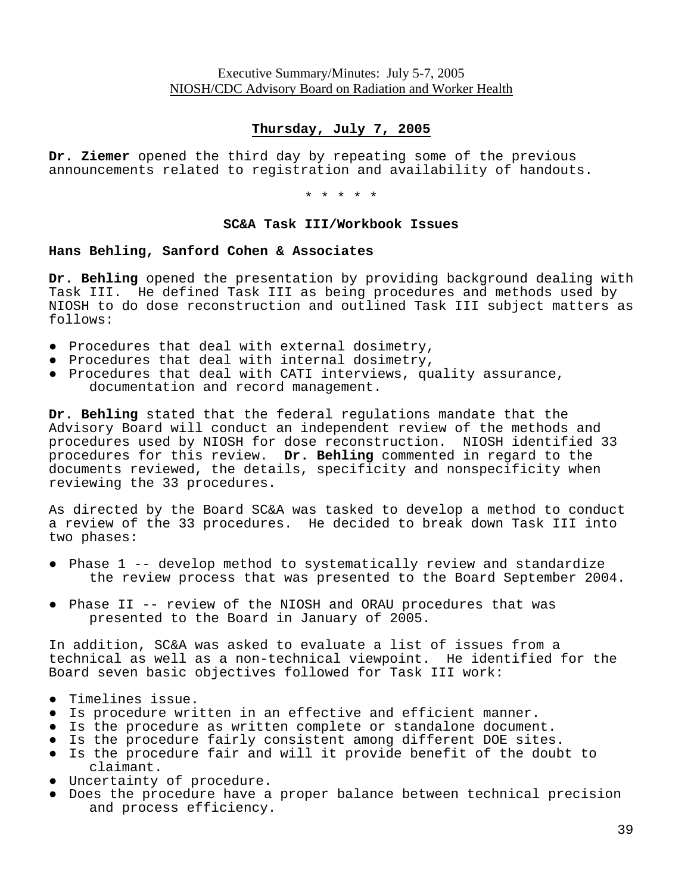# **Thursday, July 7, 2005**

**Dr. Ziemer** opened the third day by repeating some of the previous announcements related to registration and availability of handouts.

\* \* \* \* \*

#### **SC&A Task III/Workbook Issues**

#### **Hans Behling, Sanford Cohen & Associates**

**Dr. Behling** opened the presentation by providing background dealing with Task III. He defined Task III as being procedures and methods used by NIOSH to do dose reconstruction and outlined Task III subject matters as follows:

- Procedures that deal with external dosimetry,
- Procedures that deal with internal dosimetry,
- ● Procedures that deal with CATI interviews, quality assurance, documentation and record management.

**Dr. Behling** stated that the federal regulations mandate that the Advisory Board will conduct an independent review of the methods and procedures used by NIOSH for dose reconstruction. NIOSH identified 33 procedures for this review. **Dr. Behling** commented in regard to the documents reviewed, the details, specificity and nonspecificity when reviewing the 33 procedures.

As directed by the Board SC&A was tasked to develop a method to conduct a review of the 33 procedures. He decided to break down Task III into two phases:

- ● Phase 1 -- develop method to systematically review and standardize the review process that was presented to the Board September 2004.
- ● Phase II -- review of the NIOSH and ORAU procedures that was presented to the Board in January of 2005.

In addition, SC&A was asked to evaluate a list of issues from a technical as well as a non-technical viewpoint. He identified for the Board seven basic objectives followed for Task III work:

- Timelines issue.
- Is procedure written in an effective and efficient manner.
- Is the procedure as written complete or standalone document.
- Is the procedure fairly consistent among different DOE sites.
- ● Is the procedure fair and will it provide benefit of the doubt to claimant.
- Uncertainty of procedure.
- ● Does the procedure have a proper balance between technical precision and process efficiency.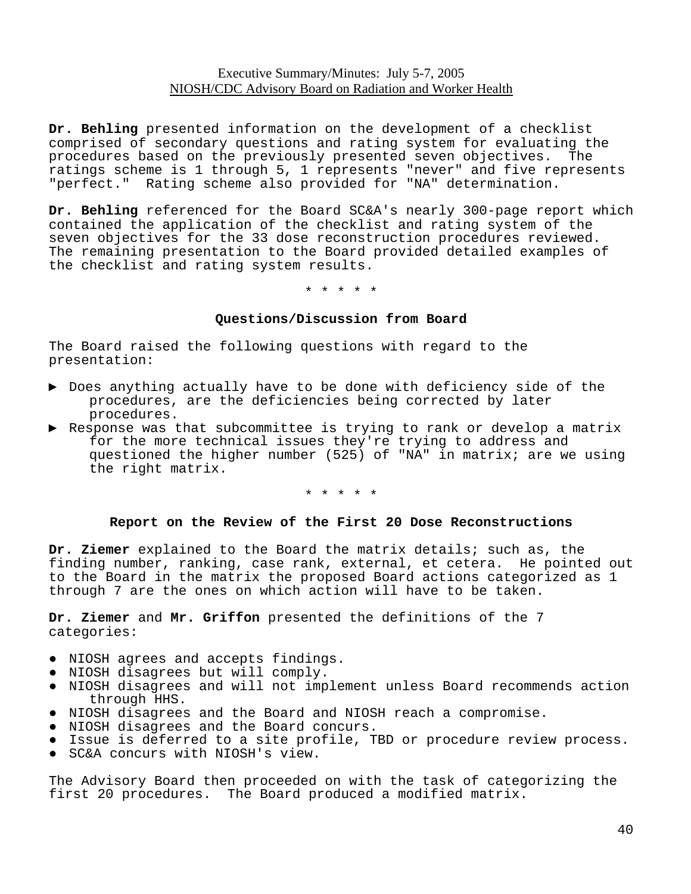**Dr. Behling** presented information on the development of a checklist comprised of secondary questions and rating system for evaluating the procedures based on the previously presented seven objectives. The ratings scheme is 1 through 5, 1 represents "never" and five represents "perfect." Rating scheme also provided for "NA" determination.

**Dr. Behling** referenced for the Board SC&A's nearly 300-page report which contained the application of the checklist and rating system of the seven objectives for the 33 dose reconstruction procedures reviewed. The remaining presentation to the Board provided detailed examples of the checklist and rating system results.

\* \* \* \* \*

#### **Questions/Discussion from Board**

The Board raised the following questions with regard to the presentation:

- ▶ Does anything actually have to be done with deficiency side of the procedures, are the deficiencies being corrected by later procedures.
- ▶ Response was that subcommittee is trying to rank or develop a matrix for the more technical issues they're trying to address and questioned the higher number (525) of "NA" in matrix; are we using the right matrix.

\* \* \* \* \*

### **Report on the Review of the First 20 Dose Reconstructions**

**Dr. Ziemer** explained to the Board the matrix details; such as, the finding number, ranking, case rank, external, et cetera. He pointed out to the Board in the matrix the proposed Board actions categorized as 1 through 7 are the ones on which action will have to be taken.

**Dr. Ziemer** and **Mr. Griffon** presented the definitions of the 7 categories:

- NIOSH agrees and accepts findings.
- NIOSH disagrees but will comply.
- ● NIOSH disagrees and will not implement unless Board recommends action through HHS.
- NIOSH disagrees and the Board and NIOSH reach a compromise.
- NIOSH disagrees and the Board concurs.
- Issue is deferred to a site profile, TBD or procedure review process.
- SC&A concurs with NIOSH's view.

The Advisory Board then proceeded on with the task of categorizing the first 20 procedures. The Board produced a modified matrix.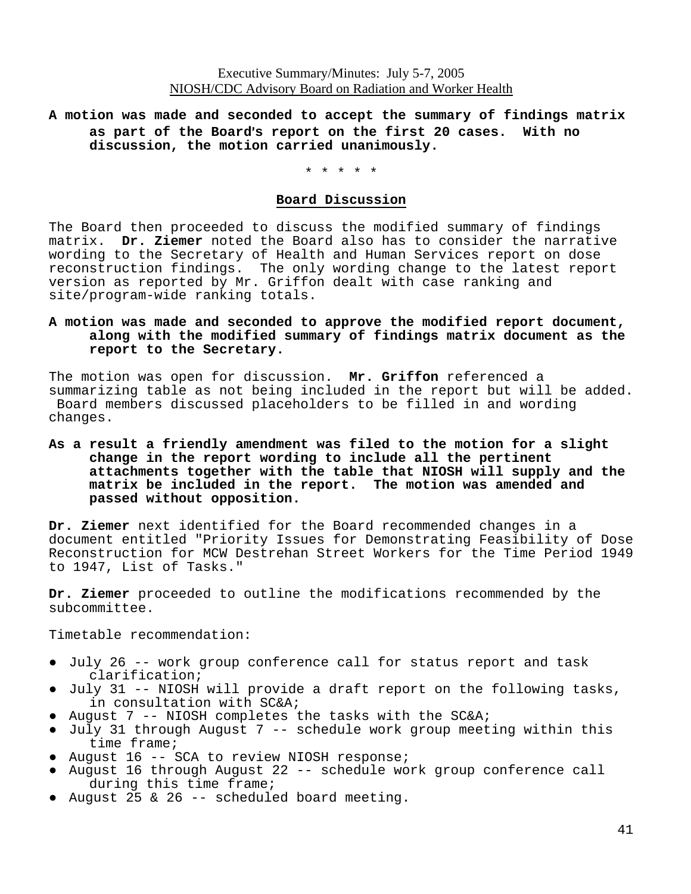## **A motion was made and seconded to accept the summary of findings matrix as part of the Board**=**s report on the first 20 cases. With no discussion, the motion carried unanimously.**

\* \* \* \* \*

#### **Board Discussion**

The Board then proceeded to discuss the modified summary of findings matrix. **Dr. Ziemer** noted the Board also has to consider the narrative wording to the Secretary of Health and Human Services report on dose reconstruction findings. The only wording change to the latest report version as reported by Mr. Griffon dealt with case ranking and site/program-wide ranking totals.

#### **A motion was made and seconded to approve the modified report document, along with the modified summary of findings matrix document as the report to the Secretary.**

The motion was open for discussion. **Mr. Griffon** referenced a summarizing table as not being included in the report but will be added. Board members discussed placeholders to be filled in and wording changes.

#### **As a result a friendly amendment was filed to the motion for a slight change in the report wording to include all the pertinent attachments together with the table that NIOSH will supply and the matrix be included in the report. The motion was amended and passed without opposition.**

**Dr. Ziemer** next identified for the Board recommended changes in a document entitled "Priority Issues for Demonstrating Feasibility of Dose Reconstruction for MCW Destrehan Street Workers for the Time Period 1949 to 1947, List of Tasks."

**Dr. Ziemer** proceeded to outline the modifications recommended by the subcommittee.

Timetable recommendation:

- ● July 26 -- work group conference call for status report and task clarification;
- ● July 31 -- NIOSH will provide a draft report on the following tasks, in consultation with SC&A;
- August 7 -- NIOSH completes the tasks with the SC&A;
- ● July 31 through August 7 -- schedule work group meeting within this time frame;
- August 16 -- SCA to review NIOSH response;
- ● August 16 through August 22 -- schedule work group conference call during this time frame;
- August 25 & 26 -- scheduled board meeting.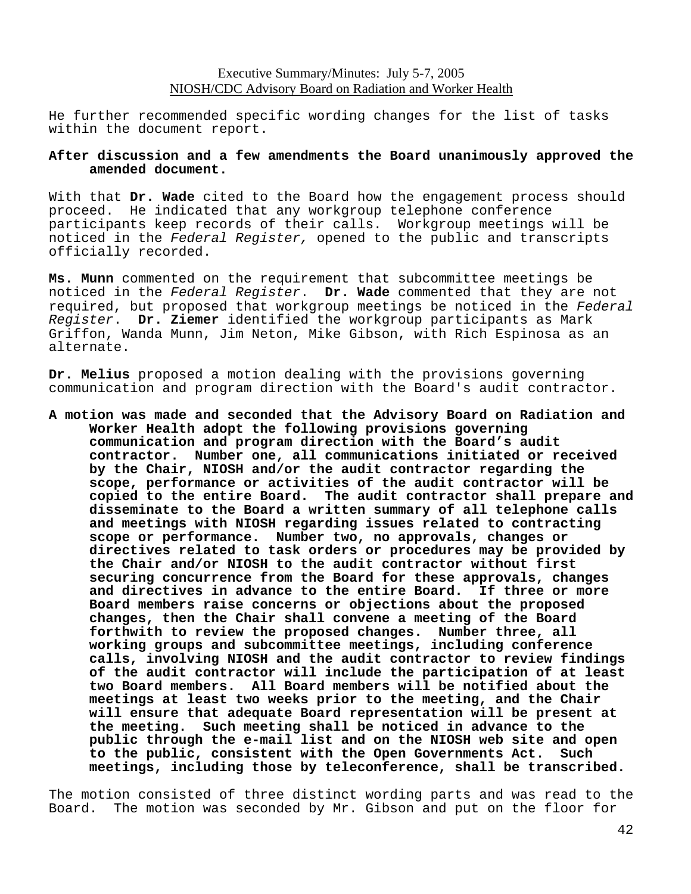He further recommended specific wording changes for the list of tasks within the document report.

#### **After discussion and a few amendments the Board unanimously approved the amended document.**

With that **Dr. Wade** cited to the Board how the engagement process should proceed. He indicated that any workgroup telephone conference participants keep records of their calls. Workgroup meetings will be noticed in the *Federal Register,* opened to the public and transcripts officially recorded.

**Ms. Munn** commented on the requirement that subcommittee meetings be noticed in the *Federal Register*. **Dr. Wade** commented that they are not required, but proposed that workgroup meetings be noticed in the *Federal Register*. **Dr. Ziemer** identified the workgroup participants as Mark Griffon, Wanda Munn, Jim Neton, Mike Gibson, with Rich Espinosa as an alternate.

**Dr. Melius** proposed a motion dealing with the provisions governing communication and program direction with the Board's audit contractor.

**A motion was made and seconded that the Advisory Board on Radiation and Worker Health adopt the following provisions governing communication and program direction with the Board's audit contractor. Number one, all communications initiated or received by the Chair, NIOSH and/or the audit contractor regarding the scope, performance or activities of the audit contractor will be copied to the entire Board. The audit contractor shall prepare and disseminate to the Board a written summary of all telephone calls and meetings with NIOSH regarding issues related to contracting scope or performance. Number two, no approvals, changes or directives related to task orders or procedures may be provided by the Chair and/or NIOSH to the audit contractor without first securing concurrence from the Board for these approvals, changes and directives in advance to the entire Board. If three or more Board members raise concerns or objections about the proposed changes, then the Chair shall convene a meeting of the Board forthwith to review the proposed changes. Number three, all working groups and subcommittee meetings, including conference calls, involving NIOSH and the audit contractor to review findings of the audit contractor will include the participation of at least two Board members. All Board members will be notified about the meetings at least two weeks prior to the meeting, and the Chair will ensure that adequate Board representation will be present at the meeting. Such meeting shall be noticed in advance to the public through the e-mail list and on the NIOSH web site and open to the public, consistent with the Open Governments Act. Such meetings, including those by teleconference, shall be transcribed.** 

The motion consisted of three distinct wording parts and was read to the Board. The motion was seconded by Mr. Gibson and put on the floor for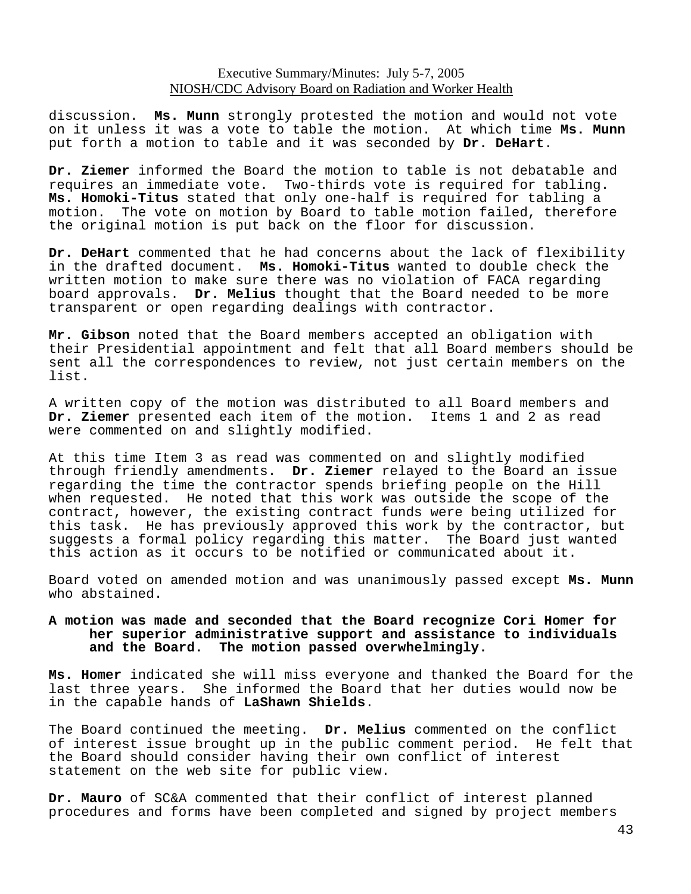discussion. **Ms. Munn** strongly protested the motion and would not vote on it unless it was a vote to table the motion. At which time **Ms. Munn**  put forth a motion to table and it was seconded by **Dr. DeHart**.

**Dr. Ziemer** informed the Board the motion to table is not debatable and requires an immediate vote. Two-thirds vote is required for tabling. **Ms. Homoki-Titus** stated that only one-half is required for tabling a motion. The vote on motion by Board to table motion failed, therefore the original motion is put back on the floor for discussion.

**Dr. DeHart** commented that he had concerns about the lack of flexibility in the drafted document. **Ms. Homoki-Titus** wanted to double check the written motion to make sure there was no violation of FACA regarding board approvals. **Dr. Melius** thought that the Board needed to be more transparent or open regarding dealings with contractor.

**Mr. Gibson** noted that the Board members accepted an obligation with their Presidential appointment and felt that all Board members should be sent all the correspondences to review, not just certain members on the list.

A written copy of the motion was distributed to all Board members and **Dr. Ziemer** presented each item of the motion. Items 1 and 2 as read were commented on and slightly modified.

At this time Item 3 as read was commented on and slightly modified through friendly amendments. **Dr. Ziemer** relayed to the Board an issue regarding the time the contractor spends briefing people on the Hill when requested. He noted that this work was outside the scope of the contract, however, the existing contract funds were being utilized for this task. He has previously approved this work by the contractor, but suggests a formal policy regarding this matter. The Board just wanted this action as it occurs to be notified or communicated about it.

Board voted on amended motion and was unanimously passed except **Ms. Munn**  who abstained.

### **A motion was made and seconded that the Board recognize Cori Homer for her superior administrative support and assistance to individuals and the Board. The motion passed overwhelmingly.**

**Ms. Homer** indicated she will miss everyone and thanked the Board for the last three years. She informed the Board that her duties would now be in the capable hands of **LaShawn Shields**.

The Board continued the meeting. **Dr. Melius** commented on the conflict of interest issue brought up in the public comment period. He felt that the Board should consider having their own conflict of interest statement on the web site for public view.

**Dr. Mauro** of SC&A commented that their conflict of interest planned procedures and forms have been completed and signed by project members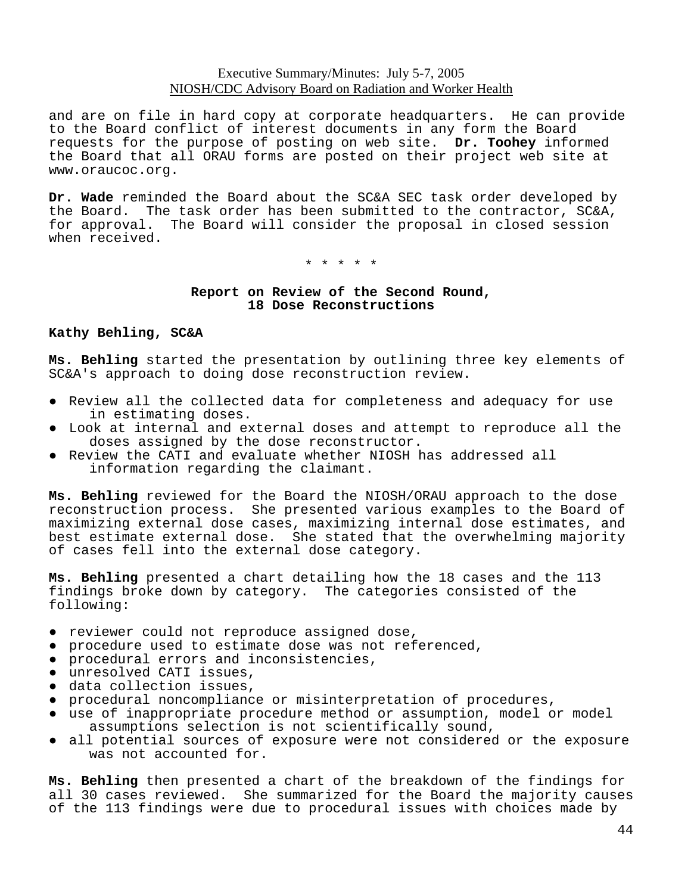and are on file in hard copy at corporate headquarters. He can provide to the Board conflict of interest documents in any form the Board requests for the purpose of posting on web site. **Dr. Toohey** informed the Board that all ORAU forms are posted on their project web site at www.oraucoc.org.

**Dr. Wade** reminded the Board about the SC&A SEC task order developed by the Board. The task order has been submitted to the contractor, SC&A, for approval. The Board will consider the proposal in closed session when received.

\* \* \* \* \*

### **Report on Review of the Second Round, 18 Dose Reconstructions**

#### **Kathy Behling, SC&A**

**Ms. Behling** started the presentation by outlining three key elements of SC&A's approach to doing dose reconstruction review.

- ● Review all the collected data for completeness and adequacy for use in estimating doses.
- Look at internal and external doses and attempt to reproduce all the doses assigned by the dose reconstructor.
- ● Review the CATI and evaluate whether NIOSH has addressed all information regarding the claimant.

**Ms. Behling** reviewed for the Board the NIOSH/ORAU approach to the dose reconstruction process. She presented various examples to the Board of maximizing external dose cases, maximizing internal dose estimates, and best estimate external dose. She stated that the overwhelming majority of cases fell into the external dose category.

**Ms. Behling** presented a chart detailing how the 18 cases and the 113 findings broke down by category. The categories consisted of the following:

- reviewer could not reproduce assigned dose,
- procedure used to estimate dose was not referenced,
- procedural errors and inconsistencies,
- unresolved CATI issues,
- data collection issues,
- procedural noncompliance or misinterpretation of procedures,
- ● use of inappropriate procedure method or assumption, model or model assumptions selection is not scientifically sound,
- all potential sources of exposure were not considered or the exposure was not accounted for.

**Ms. Behling** then presented a chart of the breakdown of the findings for all 30 cases reviewed. She summarized for the Board the majority causes of the 113 findings were due to procedural issues with choices made by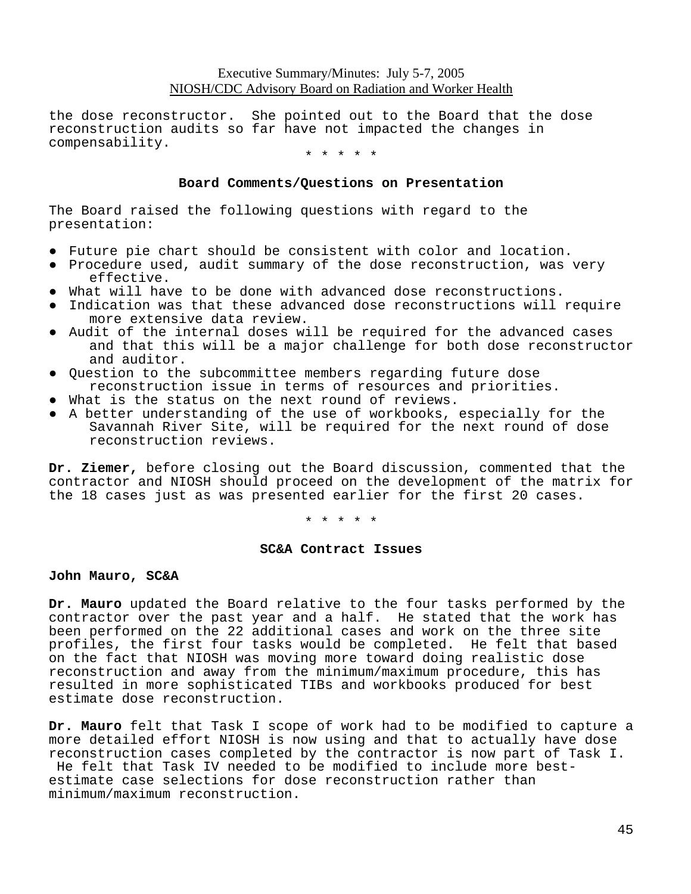the dose reconstructor. She pointed out to the Board that the dose reconstruction audits so far have not impacted the changes in compensability.

\* \* \* \* \*

#### **Board Comments/Questions on Presentation**

The Board raised the following questions with regard to the presentation:

- Future pie chart should be consistent with color and location.
- Procedure used, audit summary of the dose reconstruction, was very effective.
- What will have to be done with advanced dose reconstructions.
- ● Indication was that these advanced dose reconstructions will require more extensive data review.
- ● Audit of the internal doses will be required for the advanced cases and that this will be a major challenge for both dose reconstructor and auditor.
- Question to the subcommittee members regarding future dose reconstruction issue in terms of resources and priorities.
- What is the status on the next round of reviews.
- ● A better understanding of the use of workbooks, especially for the Savannah River Site, will be required for the next round of dose reconstruction reviews.

**Dr. Ziemer,** before closing out the Board discussion, commented that the contractor and NIOSH should proceed on the development of the matrix for the 18 cases just as was presented earlier for the first 20 cases.

\* \* \* \* \*

#### **SC&A Contract Issues**

#### **John Mauro, SC&A**

**Dr. Mauro** updated the Board relative to the four tasks performed by the contractor over the past year and a half. He stated that the work has been performed on the 22 additional cases and work on the three site profiles, the first four tasks would be completed. He felt that based on the fact that NIOSH was moving more toward doing realistic dose reconstruction and away from the minimum/maximum procedure, this has resulted in more sophisticated TIBs and workbooks produced for best estimate dose reconstruction.

**Dr. Mauro** felt that Task I scope of work had to be modified to capture a more detailed effort NIOSH is now using and that to actually have dose reconstruction cases completed by the contractor is now part of Task I. He felt that Task IV needed to be modified to include more best-

estimate case selections for dose reconstruction rather than minimum/maximum reconstruction.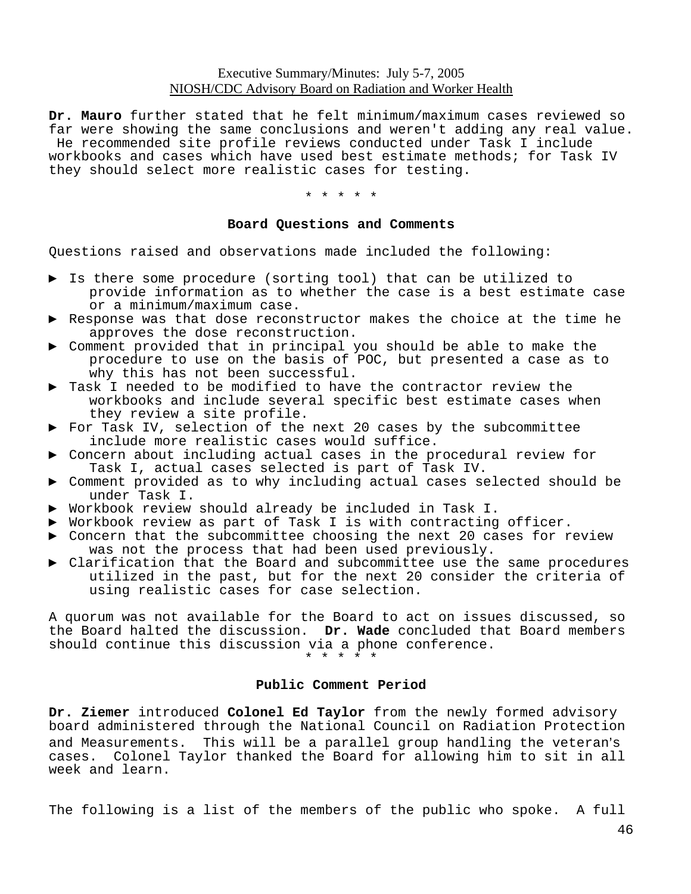**Dr. Mauro** further stated that he felt minimum/maximum cases reviewed so far were showing the same conclusions and weren't adding any real value. He recommended site profile reviews conducted under Task I include workbooks and cases which have used best estimate methods; for Task IV they should select more realistic cases for testing.

\* \* \* \* \*

#### **Board Questions and Comments**

Questions raised and observations made included the following:

- ▶ Is there some procedure (sorting tool) that can be utilized to provide information as to whether the case is a best estimate case or a minimum/maximum case.
- ▶ Response was that dose reconstructor makes the choice at the time he approves the dose reconstruction.
- ▶ Comment provided that in principal you should be able to make the procedure to use on the basis of POC, but presented a case as to why this has not been successful.
- ▶ Task I needed to be modified to have the contractor review the workbooks and include several specific best estimate cases when they review a site profile.
- ▶ For Task IV, selection of the next 20 cases by the subcommittee include more realistic cases would suffice.
- Concern about including actual cases in the procedural review for Task I, actual cases selected is part of Task IV.
- ► Comment provided as to why including actual cases selected should be under Task I.
- ► Workbook review should already be included in Task I.
- ► Workbook review as part of Task I is with contracting officer.
- ▶ Concern that the subcommittee choosing the next 20 cases for review was not the process that had been used previously.
- ▶ Clarification that the Board and subcommittee use the same procedures utilized in the past, but for the next 20 consider the criteria of using realistic cases for case selection.

A quorum was not available for the Board to act on issues discussed, so the Board halted the discussion. **Dr. Wade** concluded that Board members should continue this discussion via a phone conference.

\* \* \* \* \*

#### **Public Comment Period**

**Dr. Ziemer** introduced **Colonel Ed Taylor** from the newly formed advisory board administered through the National Council on Radiation Protection and Measurements. This will be a parallel group handling the veteran's cases. Colonel Taylor thanked the Board for allowing him to sit in all week and learn.

The following is a list of the members of the public who spoke. A full